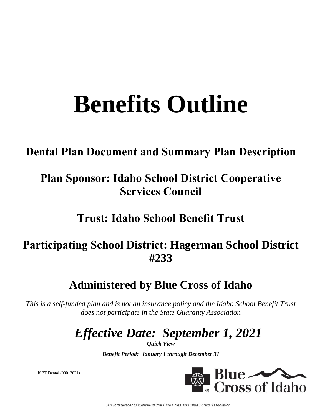# **Benefits Outline**

### **Dental Plan Document and Summary Plan Description**

## **Plan Sponsor: Idaho School District Cooperative Services Council**

### **Trust: Idaho School Benefit Trust**

### **Participating School District: Hagerman School District #233**

### **Administered by Blue Cross of Idaho**

*This is a self-funded plan and is not an insurance policy and the Idaho School Benefit Trust does not participate in the State Guaranty Association*

# *Effective Date: September 1, 2021*

*Quick View*

*Benefit Period: January 1 through December 31*

ISBT Dental (09012021)



An Independent Licensee of the Blue Cross and Blue Shield Association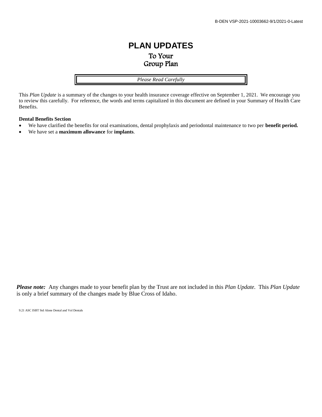### **PLAN UPDATES** To Your Group Plan

*Please Read Carefully*

This *Plan Update* is a summary of the changes to your health insurance coverage effective on September 1, 2021. We encourage you to review this carefully. For reference, the words and terms capitalized in this document are defined in your Summary of Health Care Benefits.

#### **Dental Benefits Section**

- We have clarified the benefits for oral examinations, dental prophylaxis and periodontal maintenance to two per **benefit period.**
- We have set a **maximum allowance** for **implants**.

*Please note:* Any changes made to your benefit plan by the Trust are not included in this *Plan Update.* This *Plan Update* is only a brief summary of the changes made by Blue Cross of Idaho.

9.21 ASC ISBT Std Alone Dental and Vol Dentals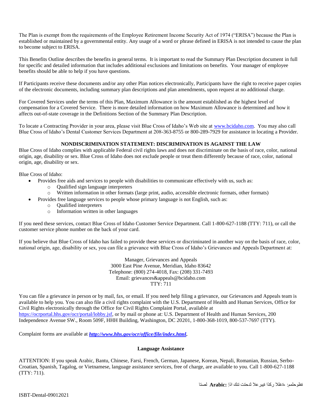The Plan is exempt from the requirements of the Employee Retirement Income Security Act of 1974 ("ERISA") because the Plan is established or maintained by a governmental entity. Any usage of a word or phrase defined in ERISA is not intended to cause the plan to become subject to ERISA.

This Benefits Outline describes the benefits in general terms. It is important to read the Summary Plan Description document in full for specific and detailed information that includes additional exclusions and limitations on benefits. Your manager of employee benefits should be able to help if you have questions.

If Participants receive these documents and/or any other Plan notices electronically, Participants have the right to receive paper copies of the electronic documents, including summary plan descriptions and plan amendments, upon request at no additional charge.

For Covered Services under the terms of this Plan, Maximum Allowance is the amount established as the highest level of compensation for a Covered Service. There is more detailed information on how Maximum Allowance is determined and how it affects out-of-state coverage in the Definitions Section of the Summary Plan Description.

To locate a Contracting Provider in your area, please visit Blue Cross of Idaho's Web site at [www.bcidaho.com.](http://www.bcidaho.com/) You may also call Blue Cross of Idaho's Dental Customer Services Department at 208-363-8755 or 800-289-7929 for assistance in locating a Provider.

#### **NONDISCRIMINATION STATEMENT: DISCRIMINATION IS AGAINST THE LAW**

Blue Cross of Idaho complies with applicable Federal civil rights laws and does not discriminate on the basis of race, color, national origin, age, disability or sex. Blue Cross of Idaho does not exclude people or treat them differently because of race, color, national origin, age, disability or sex.

Blue Cross of Idaho:

- Provides free aids and services to people with disabilities to communicate effectively with us, such as:
	- o Qualified sign language interpreters
	- o Written information in other formats (large print, audio, accessible electronic formats, other formats)
	- Provides free language services to people whose primary language is not English, such as:
		- o Qualified interpreters
			- o Information written in other languages

If you need these services, contact Blue Cross of Idaho Customer Service Department. Call 1-800-627-1188 (TTY: 711), or call the customer service phone number on the back of your card.

If you believe that Blue Cross of Idaho has failed to provide these services or discriminated in another way on the basis of race, color, national origin, age, disability or sex, you can file a grievance with Blue Cross of Idaho's Grievances and Appeals Department at:

> Manager, Grievances and Appeals 3000 East Pine Avenue, Meridian, Idaho 83642 Telephone: (800) 274-4018, Fax: (208) 331-7493 Email: grievances&appeals@bcidaho.com TTY: 711

You can file a grievance in person or by mail, fax, or email. If you need help filing a grievance, our Grievances and Appeals team is available to help you. You can also file a civil rights complaint with the U.S. Department of Health and Human Services, Office for Civil Rights electronically through the Office for Civil Rights Complaint Portal, available at [https://ocrportal.hhs.gov/ocr/portal/lobby.jsf,](https://ocrportal.hhs.gov/ocr/portal/lobby.jsf) or by mail or phone at: U.S. Department of Health and Human Services, 200 Independence Avenue SW., Room 509F, HHH Building, Washington, DC 20201, 1-800-368-1019, 800-537-7697 (TTY).

Complaint forms are available at *[http://www.hhs.gov/ocr/office/file/index.html.](http://www.hhs.gov/ocr/office/file/index.html)*

#### **Language Assistance**

ATTENTION: If you speak Arabic, Bantu, Chinese, Farsi, French, German, Japanese, Korean, Nepali, Romanian, Russian, Serbo-Croatian, Spanish, Tagalog, or Vietnamese, language assistance services, free of charge, are available to you. Call 1-800-627-1188 (TTY: 711).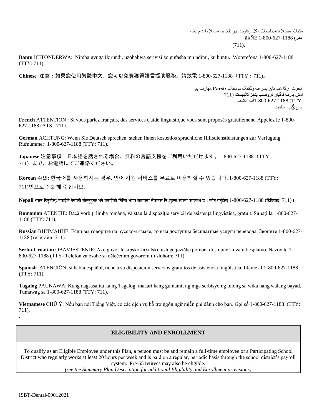مكبلاو مصلا فتاه:ناجملاب كل رفاوتت تيوغللا ةدعاسملا تامدخ نإف مقس) 1-800-627-1188 ãÞÑÈ

(711).

**Bantu** ICITONDERWA: Nimba uvuga Ikirundi, uzohabwa serivisi zo gufasha mu ndimi, ku buntu. Woterefona 1-800-627-1188 (TTY: 711).

**Chinese** 注意:如果您使用繁體中文,您可以免費獲得語言援助服務。請致電 1-800-627-1188(TTY:711)。

هجىت: زگا هة ناتز يسساف وگتفگ يم دينک **:Farsi** مهازف يم امش يارب ناگيار تروصب ينابز تاليهست (711 :TTY (1-800-627-1188اب دشاب .دیزیگة سامت

**French** ATTENTION : Si vous parlez français, des services d'aide linguistique vous sont proposés gratuitement. Appelez le 1-800- 627-1188 (ATS : 711).

**German** ACHTUNG: Wenn Sie Deutsch sprechen, stehen Ihnen kostenlos sprachliche Hilfsdienstleistungen zur Verfügung. Rufnummer: 1-800-627-1188 (TTY: 711).

**Japanese** 注意事項:日本語を話される場合、無料の言語支援をご利用いただけます。1-800-627-1188(TTY: 711)まで、お電話にてご連絡ください。

**Korean** 주의: 한국어를 사용하시는 경우, 언어 지원 서비스를 무료로 이용하실 수 있습니다. 1-800-627-1188 (TTY: 711)번으로 전화해 주십시오.

Nepali ध्यान दिनुहोस्: तपाईँले नेपाली बोल्नुहुन्छ भने तपाईँको निम्ति भाषा सहायता सेवाहरू निःशुल्क रूपमा उपलब्ध छ । फोन गर्नुहोस् 1-800-627-1188 (टिटिवाइ: 711) ।

**Romanian** ATENȚIE: Dacă vorbiți limba română, vă stau la dispoziție servicii de asistență lingvistică, gratuit. Sunați la 1-800-627- 1188 (TTY: 711).

**Russian** ВНИМАНИЕ: Если вы говорите на русском языке, то вам доступны бесплатные услуги перевода. Звоните 1-800-627- 1188 (телетайп: 711).

**Serbo-Croatian** OBAVJEŠTENJE: Ako govorite srpsko-hrvatski, usluge jezičke pomoći dostupne su vam besplatno. Nazovite 1- 800-627-1188 (TTY- Telefon za osobe sa oštećenim govorom ili sluhom: 711).

**Spanish** ATENCIÓN: si habla español, tiene a su disposición servicios gratuitos de asistencia lingüística. Llame al 1-800-627-1188 (TTY: 711).

**Tagalog** PAUNAWA: Kung nagsasalita ka ng Tagalog, maaari kang gumamit ng mga serbisyo ng tulong sa wika nang walang bayad. Tumawag sa 1-800-627-1188 (TTY: 711).

**Vietnamese** CHÚ Ý: Nếu bạn nói Tiếng Việt, có các dịch vụ hỗ trợ ngôn ngữ miễn phí dành cho bạn. Gọi số 1-800-627-1188 (TTY: 711). .

#### **ELIGIBILITY AND ENROLLMENT**

To qualify as an Eligible Employee under this Plan, a person must be and remain a full-time employee of a Participating School District who regularly works at least 20 hours per week and is paid on a regular, periodic basis through the school district's payroll system. Pre-65 retirees may also be eligible.

*(see the Summary Plan Description for additional Eligibility and Enrollment provisions)*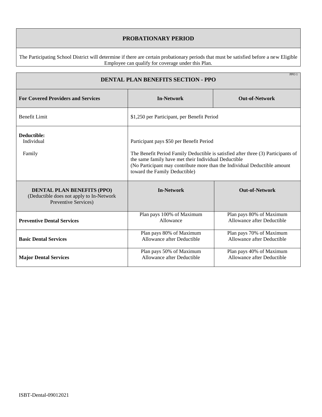#### **PROBATIONARY PERIOD**

The Participating School District will determine if there are certain probationary periods that must be satisfied before a new Eligible Employee can qualify for coverage under this Plan.

| PPO1<br><b>DENTAL PLAN BENEFITS SECTION - PPO</b>                                                     |                                                                                                                                                                                                                                                                                                     |                                                        |  |  |
|-------------------------------------------------------------------------------------------------------|-----------------------------------------------------------------------------------------------------------------------------------------------------------------------------------------------------------------------------------------------------------------------------------------------------|--------------------------------------------------------|--|--|
| <b>For Covered Providers and Services</b>                                                             | <b>In-Network</b>                                                                                                                                                                                                                                                                                   | <b>Out-of-Network</b>                                  |  |  |
| <b>Benefit Limit</b>                                                                                  | \$1,250 per Participant, per Benefit Period                                                                                                                                                                                                                                                         |                                                        |  |  |
| Deductible:<br>Individual<br>Family                                                                   | Participant pays \$50 per Benefit Period<br>The Benefit Period Family Deductible is satisfied after three (3) Participants of<br>the same family have met their Individual Deductible<br>(No Participant may contribute more than the Individual Deductible amount<br>toward the Family Deductible) |                                                        |  |  |
| <b>DENTAL PLAN BENEFITS (PPO)</b><br>(Deductible does not apply to In-Network<br>Preventive Services) | <b>In-Network</b>                                                                                                                                                                                                                                                                                   | <b>Out-of-Network</b>                                  |  |  |
| <b>Preventive Dental Services</b>                                                                     | Plan pays 100% of Maximum<br>Allowance                                                                                                                                                                                                                                                              | Plan pays 80% of Maximum<br>Allowance after Deductible |  |  |
| <b>Basic Dental Services</b>                                                                          | Plan pays 80% of Maximum<br>Allowance after Deductible                                                                                                                                                                                                                                              | Plan pays 70% of Maximum<br>Allowance after Deductible |  |  |
| <b>Major Dental Services</b>                                                                          | Plan pays 50% of Maximum<br>Allowance after Deductible                                                                                                                                                                                                                                              | Plan pays 40% of Maximum<br>Allowance after Deductible |  |  |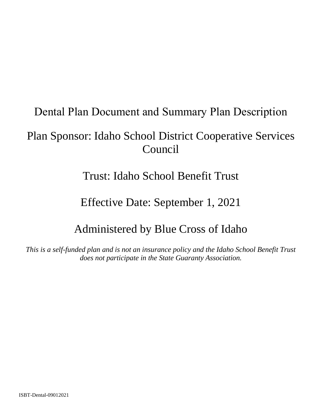### Dental Plan Document and Summary Plan Description

### Plan Sponsor: Idaho School District Cooperative Services Council

### Trust: Idaho School Benefit Trust

### Effective Date: September 1, 2021

### Administered by Blue Cross of Idaho

*This is a self-funded plan and is not an insurance policy and the Idaho School Benefit Trust does not participate in the State Guaranty Association.*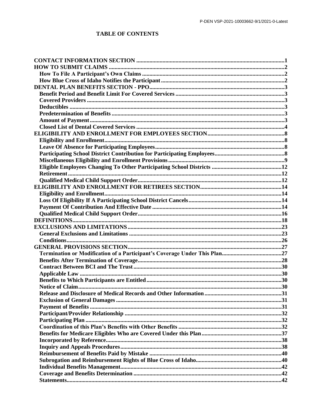### **TABLE OF CONTENTS**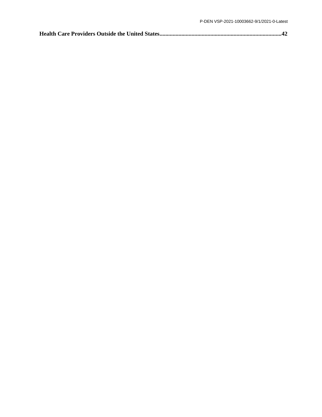|--|--|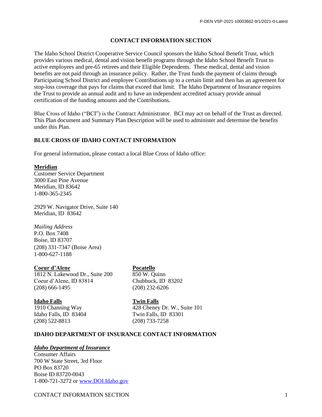#### **CONTACT INFORMATION SECTION**

The Idaho School District Cooperative Service Council sponsors the Idaho School Benefit Trust, which provides various medical, dental and vision benefit programs through the Idaho School Benefit Trust to active employees and pre-65 retirees and their Eligible Dependents. These medical, dental and vision benefits are not paid through an insurance policy. Rather, the Trust funds the payment of claims through Participating School District and employee Contributions up to a certain limit and then has an agreement for stop-loss coverage that pays for claims that exceed that limit. The Idaho Department of Insurance requires the Trust to provide an annual audit and to have an independent accredited actuary provide annual certification of the funding amounts and the Contributions.

Blue Cross of Idaho ("BCI") is the Contract Administrator. BCI may act on behalf of the Trust as directed. This Plan document and Summary Plan Description will be used to administer and determine the benefits under this Plan.

#### **BLUE CROSS OF IDAHO CONTACT INFORMATION**

For general information, please contact a local Blue Cross of Idaho office:

#### **Meridian**

Customer Service Department 3000 East Pine Avenue Meridian, ID 83642 1-800-365-2345

2929 W. Navigator Drive, Suite 140 Meridian, ID 83642

#### *Mailing Address*

P.O. Box 7408 Boise, ID 83707 (208) 331-7347 (Boise Area) 1-800-627-1188

#### **Coeur d'Alene Pocatello**

1812 N. Lakewood Dr., Suite 200 850 W. Quinn Coeur d'Alene, ID 83814 Chubbuck, ID 83202 (208) 666-1495 (208) 232-6206

#### **Idaho Falls Twin Falls**

1910 Channing Way 428 Cheney Dr. W., Suite 101 Idaho Falls, ID 83404 Twin Falls, ID 83301 (208) 522-8813 (208) 733-7258

#### **IDAHO DEPARTMENT OF INSURANCE CONTACT INFORMATION**

#### *Idaho Department of Insurance*

Consumer Affairs 700 W State Street, 3rd Floor PO Box 83720 Boise ID 83720-0043 1-800-721-3272 or [www.DOI.Idaho.gov](http://www.doi.idaho.gov/)

CONTACT INFORMATION SECTION 1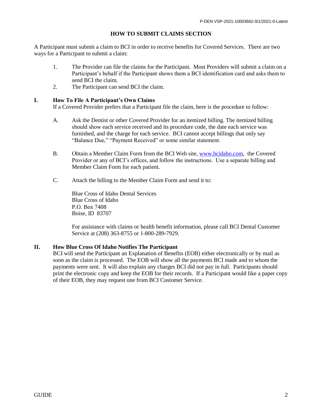#### **HOW TO SUBMIT CLAIMS SECTION**

A Participant must submit a claim to BCI in order to receive benefits for Covered Services. There are two ways for a Participant to submit a claim:

- 1. The Provider can file the claims for the Participant. Most Providers will submit a claim on a Participant's behalf if the Participant shows them a BCI identification card and asks them to send BCI the claim.
- 2. The Participant can send BCI the claim.

#### **I. How To File A Participant's Own Claims**

If a Covered Provider prefers that a Participant file the claim, here is the procedure to follow:

- A. Ask the Dentist or other Covered Provider for an itemized billing. The itemized billing should show each service received and its procedure code, the date each service was furnished, and the charge for each service. BCI cannot accept billings that only say "Balance Due," "Payment Received" or some similar statement.
- B. Obtain a Member Claim Form from the BCI Web site, [www.bcidaho.com,](http://www.bcidaho.com/) the Covered Provider or any of BCI's offices, and follow the instructions. Use a separate billing and Member Claim Form for each patient.
- C. Attach the billing to the Member Claim Form and send it to:

Blue Cross of Idaho Dental Services Blue Cross of Idaho P.O. Box 7408 Boise, ID 83707

For assistance with claims or health benefit information, please call BCI Dental Customer Service at (208) 363-8755 or 1-800-289-7929.

#### **II. How Blue Cross Of Idaho Notifies The Participant**

BCI will send the Participant an Explanation of Benefits (EOB) either electronically or by mail as soon as the claim is processed. The EOB will show all the payments BCI made and to whom the payments were sent. It will also explain any charges BCI did not pay in full. Participants should print the electronic copy and keep the EOB for their records. If a Participant would like a paper copy of their EOB, they may request one from BCI Customer Service.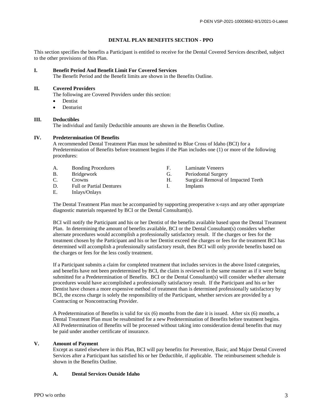#### **DENTAL PLAN BENEFITS SECTION - PPO**

This section specifies the benefits a Participant is entitled to receive for the Dental Covered Services described, subject to the other provisions of this Plan.

#### **I. Benefit Period And Benefit Limit For Covered Services**

The Benefit Period and the Benefit limits are shown in the Benefits Outline.

#### **II. Covered Providers**

The following are Covered Providers under this section:

- Dentist
- Denturist

#### **III. Deductibles**

The individual and family Deductible amounts are shown in the Benefits Outline.

#### **IV. Predetermination Of Benefits**

A recommended Dental Treatment Plan must be submitted to Blue Cross of Idaho (BCI) for a Predetermination of Benefits before treatment begins if the Plan includes one (1) or more of the following procedures:

| А. | <b>Bonding Procedures</b>                                     |    | Laminate Veneers                   |
|----|---------------------------------------------------------------|----|------------------------------------|
| В. | Bridgework                                                    | G. | Periodontal Surgery                |
| C. | Crowns.                                                       | Н. | Surgical Removal of Impacted Teeth |
| D. | <b>Full or Partial Dentures</b>                               |    | Implants                           |
|    | $\mathbf{L} \cdot \mathbf{L}$ . $\mathbf{L} \cdot \mathbf{L}$ |    |                                    |

E. Inlays/Onlays

The Dental Treatment Plan must be accompanied by supporting preoperative x-rays and any other appropriate diagnostic materials requested by BCI or the Dental Consultant(s).

BCI will notify the Participant and his or her Dentist of the benefits available based upon the Dental Treatment Plan. In determining the amount of benefits available, BCI or the Dental Consultant(s) considers whether alternate procedures would accomplish a professionally satisfactory result. If the charges or fees for the treatment chosen by the Participant and his or her Dentist exceed the charges or fees for the treatment BCI has determined will accomplish a professionally satisfactory result, then BCI will only provide benefits based on the charges or fees for the less costly treatment.

If a Participant submits a claim for completed treatment that includes services in the above listed categories, and benefits have not been predetermined by BCI, the claim is reviewed in the same manner as if it were being submitted for a Predetermination of Benefits. BCI or the Dental Consultant(s) will consider whether alternate procedures would have accomplished a professionally satisfactory result. If the Participant and his or her Dentist have chosen a more expensive method of treatment than is determined professionally satisfactory by BCI, the excess charge is solely the responsibility of the Participant, whether services are provided by a Contracting or Noncontracting Provider.

A Predetermination of Benefits is valid for six (6) months from the date it is issued. After six (6) months, a Dental Treatment Plan must be resubmitted for a new Predetermination of Benefits before treatment begins. All Predetermination of Benefits will be processed without taking into consideration dental benefits that may be paid under another certificate of insurance.

#### **V. Amount of Payment**

Except as stated elsewhere in this Plan, BCI will pay benefits for Preventive, Basic, and Major Dental Covered Services after a Participant has satisfied his or her Deductible, if applicable. The reimbursement schedule is shown in the Benefits Outline.

#### **A. Dental Services Outside Idaho**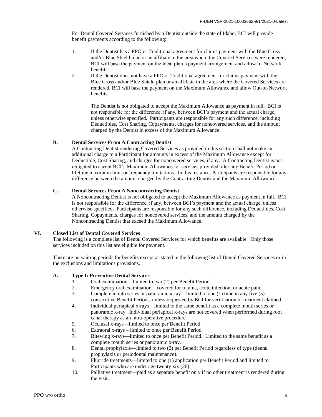For Dental Covered Services furnished by a Dentist outside the state of Idaho, BCI will provide benefit payments according to the following:

- 1. If the Dentist has a PPO or Traditional agreement for claims payment with the Blue Cross and/or Blue Shield plan or an affiliate in the area where the Covered Services were rendered, BCI will base the payment on the local plan's payment arrangement and allow In-Network benefits.
- 2. If the Dentist does not have a PPO or Traditional agreement for claims payment with the Blue Cross and/or Blue Shield plan or an affiliate in the area where the Covered Services are rendered, BCI will base the payment on the Maximum Allowance and allow Out-of-Network benefits.

The Dentist is not obligated to accept the Maximum Allowance as payment in full. BCI is not responsible for the difference, if any, between BCI's payment and the actual charge, unless otherwise specified. Participants are responsible for any such difference, including Deductibles, Cost Sharing, Copayments, charges for noncovered services, and the amount charged by the Dentist in excess of the Maximum Allowance.

#### **B. Dental Services From A Contracting Dentist**

A Contracting Dentist rendering Covered Services as provided in this section shall not make an additional charge to a Participant for amounts in excess of the Maximum Allowance except for Deductible, Cost Sharing, and charges for noncovered services, if any. A Contracting Dentist is not obligated to accept BCI's Maximum Allowance for services provided after any Benefit Period or lifetime maximum limit or frequency limitations. In this instance, Participants are responsible for any difference between the amount charged by the Contracting Dentist and the Maximum Allowance.

#### **C. Dental Services From A Noncontracting Dentist**

A Noncontracting Dentist is not obligated to accept the Maximum Allowance as payment in full. BCI is not responsible for the difference, if any, between BCI's payment and the actual charge, unless otherwise specified. Participants are responsible for any such difference, including Deductibles, Cost Sharing, Copayments, charges for noncovered services, and the amount charged by the Noncontracting Dentist that exceed the Maximum Allowance.

#### **VI. Closed List of Dental Covered Services**

The following is a complete list of Dental Covered Services for which benefits are available. Only those services included on this list are eligible for payment.

There are no waiting periods for benefits except as stated in the following list of Dental Covered Services or in the exclusions and limitations provisions.

#### **A. Type I: Preventive Dental Services**

- 1. Oral examination—limited to two (2) per Benefit Period.
- 2. Emergency oral examination—covered for trauma, acute infection, or acute pain.
- 3. Complete mouth series or panoramic x-ray—limited to one (1) time in any five (5) consecutive Benefit Periods, unless requested by BCI for verification of treatment claimed.
- 4. Individual periapical x-rays—limited to the same benefit as a complete mouth series or panoramic x-ray. Individual periapical x-rays are not covered when performed during root canal therapy as an intra-operative procedure.
- 5. Occlusal x-rays—limited to once per Benefit Period.
- 6. Extraoral x-rays limited to once per Benefit Period.
- 7. Bitewing x-rays—limited to once per Benefit Period. Limited to the same benefit as a complete mouth series or panoramic x-ray.
- 8. Dental prophylaxis—limited to two (2) per Benefit Period regardless of type (dental prophylaxis or periodontal maintenance).
- 9. Fluoride treatments—limited to one (1) application per Benefit Period and limited to Participants who are under age twenty-six (26).
- 10. Palliative treatment—paid as a separate benefit only if no other treatment is rendered during the visit.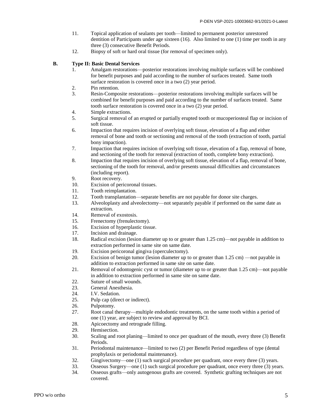- 11. Topical application of sealants per tooth—limited to permanent posterior unrestored dentition of Participants under age sixteen (16). Also limited to one (1) time per tooth in any three (3) consecutive Benefit Periods.
- 12. Biopsy of soft or hard oral tissue (for removal of specimen only).

#### **B. Type II: Basic Dental Services**

- 1. Amalgam restorations—posterior restorations involving multiple surfaces will be combined for benefit purposes and paid according to the number of surfaces treated. Same tooth surface restoration is covered once in a two  $(2)$  year period.
- 2. Pin retention.
- 3. Resin-Composite restorations—posterior restorations involving multiple surfaces will be combined for benefit purposes and paid according to the number of surfaces treated. Same tooth surface restoration is covered once in a two (2) year period.
- 4. Simple extractions.
- 5. Surgical removal of an erupted or partially erupted tooth or mucoperiosteal flap or incision of soft tissue.
- 6. Impaction that requires incision of overlying soft tissue, elevation of a flap and either removal of bone and tooth or sectioning and removal of the tooth (extraction of tooth, partial bony impaction).
- 7. Impaction that requires incision of overlying soft tissue, elevation of a flap, removal of bone, and sectioning of the tooth for removal (extraction of tooth, complete bony extraction).
- 8. Impaction that requires incision of overlying soft tissue, elevation of a flap, removal of bone, sectioning of the tooth for removal, and/or presents unusual difficulties and circumstances (including report).
- 9. Root recovery.
- 10. Excision of pericoronal tissues.
- 11. Tooth reimplantation.<br>12. Tooth transplantation-
- Tooth transplantation—separate benefits are not payable for donor site charges.
- 13. Alveoloplasty and alveolectomy—not separately payable if performed on the same date as extraction.
- 14. Removal of exostosis.
- 15. Frenectomy (frenulectomy).
- 16. Excision of hyperplastic tissue.
- 17. Incision and drainage.
- 18. Radical excision (lesion diameter up to or greater than 1.25 cm)—not payable in addition to extraction performed in same site on same date.
- 19. Excision pericoronal gingiva (operculectomy).
- 20. Excision of benign tumor (lesion diameter up to or greater than 1.25 cm) —not payable in addition to extraction performed in same site on same date.
- 21. Removal of odontogenic cyst or tumor (diameter up to or greater than 1.25 cm)—not payable in addition to extraction performed in same site on same date.
- 22. Suture of small wounds.
- 23. General Anesthesia.
- 24. I.V. Sedation.
- 25. Pulp cap (direct or indirect).
- 26. Pulpotomy.
- 27. Root canal therapy—multiple endodontic treatments, on the same tooth within a period of one (1) year, are subject to review and approval by BCI.
- 28. Apicoectomy and retrograde filling.
- 29. Hemisection.<br>30. Scaling and re
- Scaling and root planing—limited to once per quadrant of the mouth, every three (3) Benefit Periods.
- 31. Periodontal maintenance—limited to two (2) per Benefit Period regardless of type (dental prophylaxis or periodontal maintenance).
- 32. Gingivectomy—one (1) such surgical procedure per quadrant, once every three (3) years.
- 33. Osseous Surgery—one (1) such surgical procedure per quadrant, once every three (3) years.
- 34. Osseous grafts—only autogenous grafts are covered. Synthetic grafting techniques are not covered.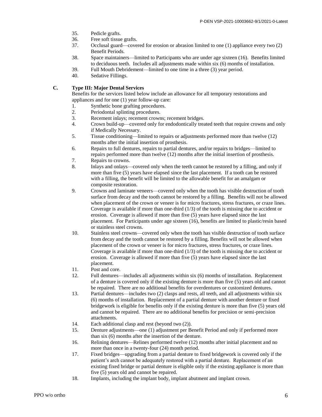- 35. Pedicle grafts.
- 36. Free soft tissue grafts.
- 37. Occlusal guard—covered for erosion or abrasion limited to one (1) appliance every two (2) Benefit Periods.
- 38. Space maintainers—limited to Participants who are under age sixteen (16). Benefits limited to deciduous teeth. Includes all adjustments made within six (6) months of installation.
- 39. Full Mouth Debridement—limited to one time in a three (3) year period.
- 40. Sedative Fillings.

#### **C. Type III: Major Dental Services**

Benefits for the services listed below include an allowance for all temporary restorations and appliances and for one (1) year follow-up care:

- 1. Synthetic bone grafting procedures.
- 2. Periodontal splinting procedures.
- 3. Recement inlays; recement crowns; recement bridges.
- 4. Crown build-up—covered only for endodontically treated teeth that require crowns and only if Medically Necessary.
- 5. Tissue conditioning—limited to repairs or adjustments performed more than twelve (12) months after the initial insertion of prosthesis.
- 6. Repairs to full dentures, repairs to partial dentures, and/or repairs to bridges—limited to repairs performed more than twelve (12) months after the initial insertion of prosthesis.
- 7. Repairs to crowns.
- 8. Inlays and onlays—covered only when the teeth cannot be restored by a filling, and only if more than five (5) years have elapsed since the last placement. If a tooth can be restored with a filling, the benefit will be limited to the allowable benefit for an amalgam or composite restoration.
- 9. Crowns and laminate veneers—covered only when the tooth has visible destruction of tooth surface from decay and the tooth cannot be restored by a filling. Benefits will not be allowed when placement of the crown or veneer is for micro fractures, stress fractures, or craze lines. Coverage is available if more than one-third (1/3) of the tooth is missing due to accident or erosion. Coverage is allowed if more than five (5) years have elapsed since the last placement. For Participants under age sixteen (16), benefits are limited to plastic/resin based or stainless steel crowns.
- 10. Stainless steel crowns—covered only when the tooth has visible destruction of tooth surface from decay and the tooth cannot be restored by a filling. Benefits will not be allowed when placement of the crown or veneer is for micro fractures, stress fractures, or craze lines. Coverage is available if more than one-third (1/3) of the tooth is missing due to accident or erosion. Coverage is allowed if more than five (5) years have elapsed since the last placement.
- 11. Post and core.
- 12. Full dentures—includes all adjustments within six (6) months of installation. Replacement of a denture is covered only if the existing denture is more than five (5) years old and cannot be repaired. There are no additional benefits for overdentures or customized dentures.
- 13. Partial dentures—includes two (2) clasps and rests, all teeth, and all adjustments within six (6) months of installation. Replacement of a partial denture with another denture or fixed bridgework is eligible for benefits only if the existing denture is more than five (5) years old and cannot be repaired. There are no additional benefits for precision or semi-precision attachments.
- 14. Each additional clasp and rest (beyond two (2)).
- 15. Denture adjustments—one (1) adjustment per Benefit Period and only if performed more than six (6) months after the insertion of the denture.
- 16. Relining dentures—Relines performed twelve (12) months after initial placement and no more than once in a twenty-four (24) month period.
- 17. Fixed bridges—upgrading from a partial denture to fixed bridgework is covered only if the patient's arch cannot be adequately restored with a partial denture. Replacement of an existing fixed bridge or partial denture is eligible only if the existing appliance is more than five (5) years old and cannot be repaired.
- 18. Implants, including the implant body, implant abutment and implant crown.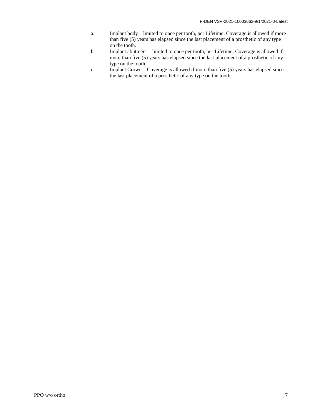- a. Implant body—limited to once per tooth, per Lifetime. Coverage is allowed if more than five (5) years has elapsed since the last placement of a prosthetic of any type on the tooth.
- b. Implant abutment—limited to once per tooth, per Lifetime. Coverage is allowed if more than five (5) years has elapsed since the last placement of a prosthetic of any type on the tooth.
- c. Implant Crown Coverage is allowed if more than five (5) years has elapsed since the last placement of a prosthetic of any type on the tooth.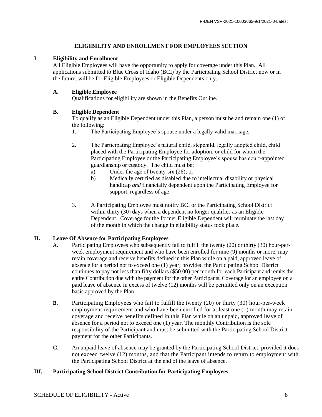#### **ELIGIBILITY AND ENROLLMENT FOR EMPLOYEES SECTION**

#### **I. Eligibility and Enrollment**

All Eligible Employees will have the opportunity to apply for coverage under this Plan. All applications submitted to Blue Cross of Idaho (BCI) by the Participating School District now or in the future, will be for Eligible Employees or Eligible Dependents only.

#### **A. Eligible Employee**

Qualifications for eligibility are shown in the Benefits Outline.

#### **B. Eligible Dependent**

To qualify as an Eligible Dependent under this Plan, a person must be and remain one (1) of the following:

- 1. The Participating Employee's spouse under a legally valid marriage.
- 2. The Participating Employee's natural child, stepchild, legally adopted child, child placed with the Participating Employee for adoption, or child for whom the Participating Employee or the Participating Employee's spouse has court-appointed guardianship or custody. The child must be:
	- a) Under the age of twenty-six (26); or
	- b) Medically certified as disabled due to intellectual disability or physical handicap *and* financially dependent upon the Participating Employee for support, regardless of age.
- 3. A Participating Employee must notify BCI or the Participating School District within thirty (30) days when a dependent no longer qualifies as an Eligible Dependent. Coverage for the former Eligible Dependent will terminate the last day of the month in which the change in eligibility status took place.

#### **II. Leave Of Absence for Participating Employees**

- **A.** Participating Employees who subsequently fail to fulfill the twenty (20) or thirty (30) hour-perweek employment requirement and who have been enrolled for nine (9) months or more, may retain coverage and receive benefits defined in this Plan while on a paid, approved leave of absence for a period not to exceed one (1) year; provided the Participating School District continues to pay not less than fifty dollars (\$50.00) per month for each Participant and remits the entire Contribution due with the payment for the other Participants. Coverage for an employee on a paid leave of absence in excess of twelve (12) months will be permitted only on an exception basis approved by the Plan.
- **B.** Participating Employees who fail to fulfill the twenty (20) or thirty (30) hour-per-week employment requirement and who have been enrolled for at least one (1) month may retain coverage and receive benefits defined in this Plan while on an unpaid, approved leave of absence for a period not to exceed one (1) year. The monthly Contribution is the sole responsibility of the Participant and must be submitted with the Participating School District payment for the other Participants.
- **C.** An unpaid leave of absence may be granted by the Participating School District, provided it does not exceed twelve (12) months, and that the Participant intends to return to employment with the Participating School District at the end of the leave of absence.

#### **III. Participating School District Contribution for Participating Employees**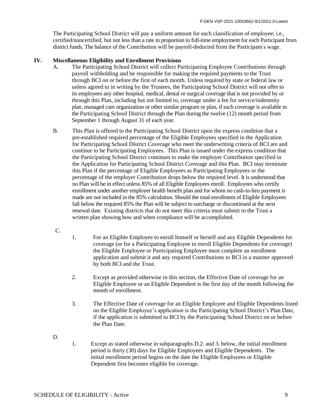The Participating School District will pay a uniform amount for each classification of employee; i.e., certified/noncertified, but not less than a rate in proportion to full-time employment for each Participant from district funds. The balance of the Contribution will be payroll-deducted from the Participant' s wage.

#### **IV. Miscellaneous Eligibility and Enrollment Provisions**

- A. The Participating School District will collect Participating Employee Contributions through payroll withholding and be responsible for making the required payments to the Trust through BCI on or before the first of each month. Unless required by state or federal law or unless agreed to in writing by the Trustees, the Participating School District will not offer to its employees any other hospital, medical, dental or surgical coverage that is not provided by or through this Plan, including but not limited to, coverage under a fee for service/indemnity plan, managed care organization or other similar program or plan, if such coverage is available to the Participating School District through the Plan during the twelve (12) month period from September 1 through August 31 of each year.
- B. This Plan is offered to the Participating School District upon the express condition that a pre-established required percentage of the Eligible Employees specified in the Application for Participating School District Coverage who meet the underwriting criteria of BCI are and continue to be Participating Employees. This Plan is issued under the express condition that the Participating School District continues to make the employer Contribution specified in the Application for Participating School District Coverage and this Plan. BCI may terminate this Plan if the percentage of Eligible Employees as Participating Employees or the percentage of the employer Contribution drops below the required level. It is understood that no Plan will be in effect unless 85% of all Eligible Employees enroll. Employees who certify enrollment under another employer health benefit plan and for whom no cash-in-lieu payment is made are not included in the 85% calculation. Should the total enrollment of Eligible Employees fall below the required 85% the Plan will be subject to surcharge or discontinued at the next renewal date. Existing districts that do not meet this criteria must submit to the Trust a written plan showing how and when compliance will be accomplished.
- C.
- 1. For an Eligible Employee to enroll himself or herself and any Eligible Dependents for coverage (or for a Participating Employee to enroll Eligible Dependents for coverage) the Eligible Employee or Participating Employee must complete an enrollment application and submit it and any required Contributions to BCI in a manner approved by both BCI and the Trust.
- 2. Except as provided otherwise in this section, the Effective Date of coverage for an Eligible Employee or an Eligible Dependent is the first day of the month following the month of enrollment.
- 3. The Effective Date of coverage for an Eligible Employee and Eligible Dependents listed on the Eligible Employee's application is the Participating School District's Plan Date, if the application is submitted to BCI by the Participating School District on or before the Plan Date.
- D.
- 1. Except as stated otherwise in subparagraphs D.2. and 3. below, the initial enrollment period is thirty (30) days for Eligible Employees and Eligible Dependents. The initial enrollment period begins on the date the Eligible Employees or Eligible Dependent first becomes eligible for coverage.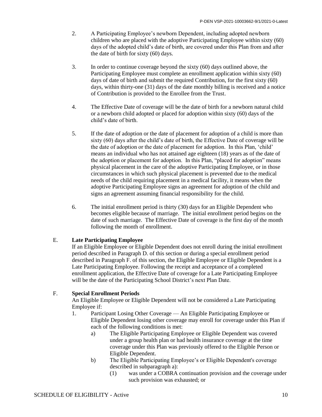- 2. A Participating Employee's newborn Dependent, including adopted newborn children who are placed with the adoptive Participating Employee within sixty (60) days of the adopted child's date of birth, are covered under this Plan from and after the date of birth for sixty (60) days.
- 3. In order to continue coverage beyond the sixty (60) days outlined above, the Participating Employee must complete an enrollment application within sixty (60) days of date of birth and submit the required Contribution, for the first sixty (60) days, within thirty-one (31) days of the date monthly billing is received and a notice of Contribution is provided to the Enrollee from the Trust.
- 4. The Effective Date of coverage will be the date of birth for a newborn natural child or a newborn child adopted or placed for adoption within sixty (60) days of the child's date of birth.
- 5. If the date of adoption or the date of placement for adoption of a child is more than sixty (60) days after the child's date of birth, the Effective Date of coverage will be the date of adoption or the date of placement for adoption. In this Plan, 'child' means an individual who has not attained age eighteen (18) years as of the date of the adoption or placement for adoption. In this Plan, "placed for adoption" means physical placement in the care of the adoptive Participating Employee, or in those circumstances in which such physical placement is prevented due to the medical needs of the child requiring placement in a medical facility, it means when the adoptive Participating Employee signs an agreement for adoption of the child and signs an agreement assuming financial responsibility for the child.
- 6. The initial enrollment period is thirty (30) days for an Eligible Dependent who becomes eligible because of marriage. The initial enrollment period begins on the date of such marriage. The Effective Date of coverage is the first day of the month following the month of enrollment.

#### E. **Late Participating Employee**

If an Eligible Employee or Eligible Dependent does not enroll during the initial enrollment period described in Paragraph D. of this section or during a special enrollment period described in Paragraph F. of this section, the Eligible Employee or Eligible Dependent is a Late Participating Employee. Following the receipt and acceptance of a completed enrollment application, the Effective Date of coverage for a Late Participating Employee will be the date of the Participating School District's next Plan Date.

#### F. **Special Enrollment Periods**

An Eligible Employee or Eligible Dependent will not be considered a Late Participating Employee if:

- 1. Participant Losing Other Coverage An Eligible Participating Employee or Eligible Dependent losing other coverage may enroll for coverage under this Plan if each of the following conditions is met:
	- a) The Eligible Participating Employee or Eligible Dependent was covered under a group health plan or had health insurance coverage at the time coverage under this Plan was previously offered to the Eligible Person or Eligible Dependent.
	- b) The Eligible Participating Employee's or Eligible Dependent's coverage described in subparagraph a):
		- (1) was under a COBRA continuation provision and the coverage under such provision was exhausted; or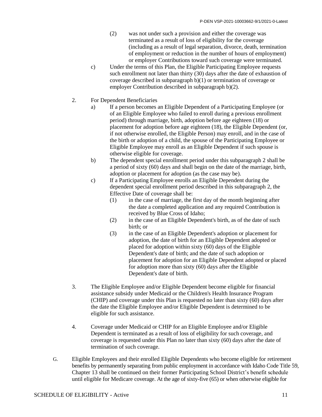- (2) was not under such a provision and either the coverage was terminated as a result of loss of eligibility for the coverage (including as a result of legal separation, divorce, death, termination of employment or reduction in the number of hours of employment) or employer Contributions toward such coverage were terminated.
- c) Under the terms of this Plan, the Eligible Participating Employee requests such enrollment not later than thirty (30) days after the date of exhaustion of coverage described in subparagraph b)(1) or termination of coverage or employer Contribution described in subparagraph b)(2).
- 2. For Dependent Beneficiaries
	- a) If a person becomes an Eligible Dependent of a Participating Employee (or of an Eligible Employee who failed to enroll during a previous enrollment period) through marriage, birth, adoption before age eighteen (18) or placement for adoption before age eighteen (18), the Eligible Dependent (or, if not otherwise enrolled, the Eligible Person) may enroll, and in the case of the birth or adoption of a child, the spouse of the Participating Employee or Eligible Employee may enroll as an Eligible Dependent if such spouse is otherwise eligible for coverage.
	- b) The dependent special enrollment period under this subparagraph 2 shall be a period of sixty (60) days and shall begin on the date of the marriage, birth, adoption or placement for adoption (as the case may be).
	- c) If a Participating Employee enrolls an Eligible Dependent during the dependent special enrollment period described in this subparagraph 2, the Effective Date of coverage shall be:
		- (1) in the case of marriage, the first day of the month beginning after the date a completed application and any required Contribution is received by Blue Cross of Idaho;
		- (2) in the case of an Eligible Dependent's birth, as of the date of such birth; or
		- (3) in the case of an Eligible Dependent's adoption or placement for adoption, the date of birth for an Eligible Dependent adopted or placed for adoption within sixty (60) days of the Eligible Dependent's date of birth; and the date of such adoption or placement for adoption for an Eligible Dependent adopted or placed for adoption more than sixty (60) days after the Eligible Dependent's date of birth.
- 3. The Eligible Employee and/or Eligible Dependent become eligible for financial assistance subsidy under Medicaid or the Children's Health Insurance Program (CHIP) and coverage under this Plan is requested no later than sixty (60) days after the date the Eligible Employee and/or Eligible Dependent is determined to be eligible for such assistance.
- 4. Coverage under Medicaid or CHIP for an Eligible Employee and/or Eligible Dependent is terminated as a result of loss of eligibility for such coverage, and coverage is requested under this Plan no later than sixty (60) days after the date of termination of such coverage.
- G. Eligible Employees and their enrolled Eligible Dependents who become eligible for retirement benefits by permanently separating from public employment in accordance with Idaho Code Title 59, Chapter 13 shall be continued on their former Participating School District's benefit schedule until eligible for Medicare coverage. At the age of sixty-five (65) or when otherwise eligible for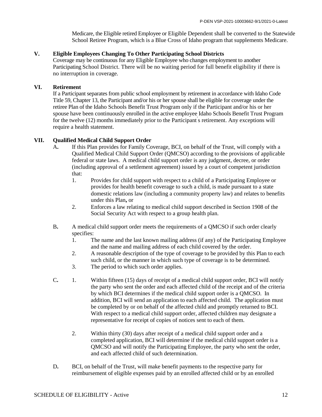Medicare, the Eligible retired Employee or Eligible Dependent shall be converted to the Statewide School Retiree Program, which is a Blue Cross of Idaho program that supplements Medicare.

#### **V. Eligible Employees Changing To Other Participating School Districts**

Coverage may be continuous for any Eligible Employee who changes employment to another Participating School District. There will be no waiting period for full benefit eligibility if there is no interruption in coverage.

#### **VI. Retirement**

If a Participant separates from public school employment by retirement in accordance with Idaho Code Title 59, Chapter 13, the Participant and/or his or her spouse shall be eligible for coverage under the retiree Plan of the Idaho Schools Benefit Trust Program only if the Participant and/or his or her spouse have been continuously enrolled in the active employee Idaho Schools Benefit Trust Program for the twelve (12) months immediately prior to the Participant's retirement. Any exceptions will require a health statement.

#### **VII. Qualified Medical Child Support Order**

- A**.** If this Plan provides for Family Coverage, BCI, on behalf of the Trust, will comply with a Qualified Medical Child Support Order (QMCSO) according to the provisions of applicable federal or state laws. A medical child support order is any judgment, decree, or order (including approval of a settlement agreement) issued by a court of competent jurisdiction that:
	- 1. Provides for child support with respect to a child of a Participating Employee or provides for health benefit coverage to such a child, is made pursuant to a state domestic relations law (including a community property law) and relates to benefits under this Plan**,** or
	- 2. Enforces a law relating to medical child support described in Section 1908 of the Social Security Act with respect to a group health plan.
- B**.** A medical child support order meets the requirements of a QMCSO if such order clearly specifies:
	- 1. The name and the last known mailing address (if any) of the Participating Employee and the name and mailing address of each child covered by the order.
	- 2. A reasonable description of the type of coverage to be provided by this Plan to each such child, or the manner in which such type of coverage is to be determined.
	- 3. The period to which such order applies.
- C**.** 1. Within fifteen (15) days of receipt of a medical child support order, BCI will notify the party who sent the order and each affected child of the receipt and of the criteria by which BCI determines if the medical child support order is a QMCSO. In addition, BCI will send an application to each affected child. The application must be completed by or on behalf of the affected child and promptly returned to BCI. With respect to a medical child support order, affected children may designate a representative for receipt of copies of notices sent to each of them.
	- 2. Within thirty (30) days after receipt of a medical child support order and a completed application, BCI will determine if the medical child support order is a QMCSO and will notify the Participating Employee, the party who sent the order, and each affected child of such determination.
- D**.** BCI, on behalf of the Trust, will make benefit payments to the respective party for reimbursement of eligible expenses paid by an enrolled affected child or by an enrolled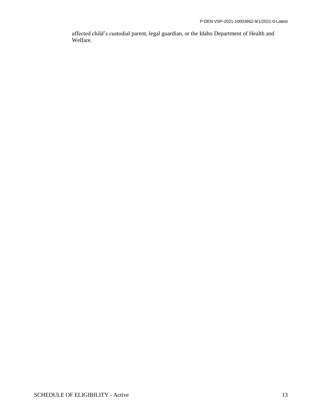affected child's custodial parent, legal guardian, or the Idaho Department of Health and Welfare.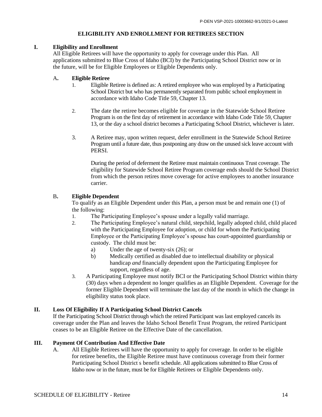#### **ELIGIBILITY AND ENROLLMENT FOR RETIREES SECTION**

#### **I. Eligibility and Enrollment**

All Eligible Retirees will have the opportunity to apply for coverage under this Plan. All applications submitted to Blue Cross of Idaho (BCI) by the Participating School District now or in the future, will be for Eligible Employees or Eligible Dependents only.

#### A**. Eligible Retiree**

- 1. Eligible Retiree is defined as: A retired employee who was employed by a Participating School District but who has permanently separated from public school employment in accordance with Idaho Code Title 59, Chapter 13.
- 2. The date the retiree becomes eligible for coverage in the Statewide School Retiree Program is on the first day of retirement in accordance with Idaho Code Title 59, Chapter 13, or the day a school district becomes a Participating School District, whichever is later.
- 3. A Retiree may, upon written request, defer enrollment in the Statewide School Retiree Program until a future date, thus postponing any draw on the unused sick leave account with PERSI.

During the period of deferment the Retiree must maintain continuous Trust coverage. The eligibility for Statewide School Retiree Program coverage ends should the School District from which the person retires move coverage for active employees to another insurance carrier.

#### B**. Eligible Dependent**

To qualify as an Eligible Dependent under this Plan, a person must be and remain one (1) of the following:

- 1. The Participating Employee's spouse under a legally valid marriage.
- 2. The Participating Employee's natural child, stepchild, legally adopted child, child placed with the Participating Employee for adoption, or child for whom the Participating Employee or the Participating Employee's spouse has court-appointed guardianship or custody. The child must be:
	- a) Under the age of twenty-six (26); or
	- b) Medically certified as disabled due to intellectual disability or physical handicap *and* financially dependent upon the Participating Employee for support, regardless of age.
- 3. A Participating Employee must notify BCI or the Participating School District within thirty (30) days when a dependent no longer qualifies as an Eligible Dependent. Coverage for the former Eligible Dependent will terminate the last day of the month in which the change in eligibility status took place.

#### **II. Loss Of Eligibility If A Participating School District Cancels**

If the Participating School District through which the retired Participant was last employed cancels its coverage under the Plan and leaves the Idaho School Benefit Trust Program, the retired Participant ceases to be an Eligible Retiree on the Effective Date of the cancellation.

#### **III. Payment Of Contribution And Effective Date**

A. All Eligible Retirees will have the opportunity to apply for coverage. In order to be eligible for retiree benefits, the Eligible Retiree must have continuous coverage from their former Participating School District s benefit schedule. All applications submitted to Blue Cross of Idaho now or in the future, must be for Eligible Retirees or Eligible Dependents only.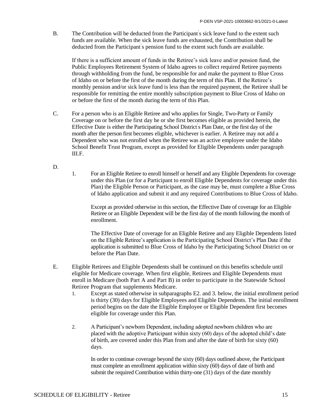B. The Contribution will be deducted from the Participant's sick leave fund to the extent such funds are available. When the sick leave funds are exhausted, the Contribution shall be deducted from the Participant's pension fund to the extent such funds are available.

If there is a sufficient amount of funds in the Retiree's sick leave and/or pension fund, the Public Employees Retirement System of Idaho agrees to collect required Retiree payments through withholding from the fund, be responsible for and make the payment to Blue Cross of Idaho on or before the first of the month during the term of this Plan. If the Retiree's monthly pension and/or sick leave fund is less than the required payment, the Retiree shall be responsible for remitting the entire monthly subscription payment to Blue Cross of Idaho on or before the first of the month during the term of this Plan.

- C. For a person who is an Eligible Retiree and who applies for Single, Two-Party or Family Coverage on or before the first day he or she first becomes eligible as provided herein, the Effective Date is either the Participating School District's Plan Date, or the first day of the month after the person first becomes eligible, whichever is earlier. A Retiree may not add a Dependent who was not enrolled when the Retiree was an active employee under the Idaho School Benefit Trust Program, except as provided for Eligible Dependents under paragraph III.F.
- D.
- 1. For an Eligible Retiree to enroll himself or herself and any Eligible Dependents for coverage under this Plan (or for a Participant to enroll Eligible Dependents for coverage under this Plan) the Eligible Person or Participant, as the case may be, must complete a Blue Cross of Idaho application and submit it and any required Contributions to Blue Cross of Idaho.

Except as provided otherwise in this section, the Effective Date of coverage for an Eligible Retiree or an Eligible Dependent will be the first day of the month following the month of enrollment.

The Effective Date of coverage for an Eligible Retiree and any Eligible Dependents listed on the Eligible Retiree's application is the Participating School District's Plan Date if the application is submitted to Blue Cross of Idaho by the Participating School District on or before the Plan Date.

- E. Eligible Retirees and Eligible Dependents shall be continued on this benefits schedule until eligible for Medicare coverage. When first eligible, Retirees and Eligible Dependents must enroll in Medicare (both Part A and Part B) in order to participate in the Statewide School Retiree Program that supplements Medicare.
	- 1. Except as stated otherwise in subparagraphs E2. and 3. below, the initial enrollment period is thirty (30) days for Eligible Employees and Eligible Dependents. The initial enrollment period begins on the date the Eligible Employee or Eligible Dependent first becomes eligible for coverage under this Plan.
	- 2. A Participant's newborn Dependent, including adopted newborn children who are placed with the adoptive Participant within sixty (60) days of the adopted child's date of birth, are covered under this Plan from and after the date of birth for sixty (60) days.

In order to continue coverage beyond the sixty (60) days outlined above, the Participant must complete an enrollment application within sixty (60) days of date of birth and submit the required Contribution within thirty-one (31) days of the date monthly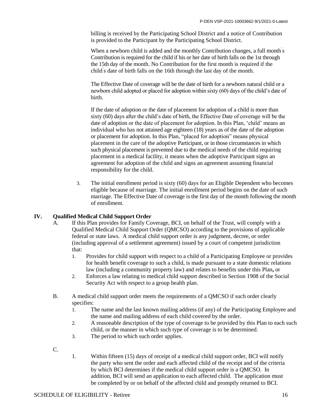billing is received by the Participating School District and a notice of Contribution is provided to the Participant by the Participating School District.

When a newborn child is added and the monthly Contribution changes, a full month s Contribution is required for the child if his or her date of birth falls on the 1st through the 15th day of the month. No Contribution for the first month is required if the child' s date of birth falls on the 16th through the last day of the month.

The Effective Date of coverage will be the date of birth for a newborn natural child or a newborn child adopted or placed for adoption within sixty (60) days of the child's date of birth.

If the date of adoption or the date of placement for adoption of a child is more than sixty (60) days after the child's date of birth, the Effective Date of coverage will be the date of adoption or the date of placement for adoption. In this Plan, 'child' means an individual who has not attained age eighteen (18) years as of the date of the adoption or placement for adoption. In this Plan, "placed for adoption" means physical placement in the care of the adoptive Participant, or in those circumstances in which such physical placement is prevented due to the medical needs of the child requiring placement in a medical facility, it means when the adoptive Participant signs an agreement for adoption of the child and signs an agreement assuming financial responsibility for the child.

3. The initial enrollment period is sixty (60) days for an Eligible Dependent who becomes eligible because of marriage. The initial enrollment period begins on the date of such marriage. The Effective Date of coverage is the first day of the month following the month of enrollment.

#### **IV. Qualified Medical Child Support Order**

- A. If this Plan provides for Family Coverage, BCI, on behalf of the Trust, will comply with a Qualified Medical Child Support Order (QMCSO) according to the provisions of applicable federal or state laws. A medical child support order is any judgment, decree, or order (including approval of a settlement agreement) issued by a court of competent jurisdiction that:
	- 1. Provides for child support with respect to a child of a Participating Employee or provides for health benefit coverage to such a child, is made pursuant to a state domestic relations law (including a community property law) and relates to benefits under this Plan**,** or
	- 2. Enforces a law relating to medical child support described in Section 1908 of the Social Security Act with respect to a group health plan.
- B. A medical child support order meets the requirements of a QMCSO if such order clearly specifies:
	- 1. The name and the last known mailing address (if any) of the Participating Employee and the name and mailing address of each child covered by the order.
	- 2. A reasonable description of the type of coverage to be provided by this Plan to each such child, or the manner in which such type of coverage is to be determined.
	- 3. The period to which such order applies.
- C.
- 1. Within fifteen (15) days of receipt of a medical child support order, BCI will notify the party who sent the order and each affected child of the receipt and of the criteria by which BCI determines if the medical child support order is a QMCSO. In addition, BCI will send an application to each affected child. The application must be completed by or on behalf of the affected child and promptly returned to BCI.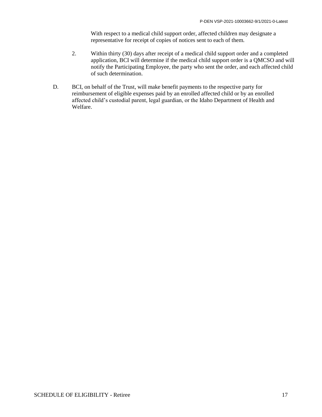With respect to a medical child support order, affected children may designate a representative for receipt of copies of notices sent to each of them.

- 2. Within thirty (30) days after receipt of a medical child support order and a completed application, BCI will determine if the medical child support order is a QMCSO and will notify the Participating Employee, the party who sent the order, and each affected child of such determination.
- D. BCI, on behalf of the Trust, will make benefit payments to the respective party for reimbursement of eligible expenses paid by an enrolled affected child or by an enrolled affected child's custodial parent, legal guardian, or the Idaho Department of Health and Welfare.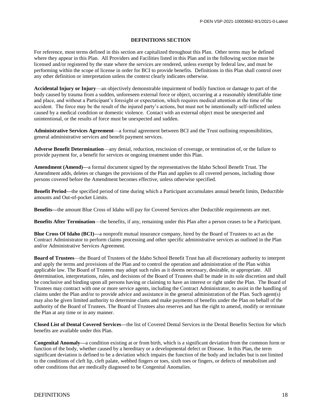#### **DEFINITIONS SECTION**

For reference, most terms defined in this section are capitalized throughout this Plan. Other terms may be defined where they appear in this Plan. All Providers and Facilities listed in this Plan and in the following section must be licensed and/or registered by the state where the services are rendered, unless exempt by federal law, and must be performing within the scope of license in order for BCI to provide benefits. Definitions in this Plan shall control over any other definition or interpretation unless the context clearly indicates otherwise.

**Accidental Injury or Injury**—an objectively demonstrable impairment of bodily function or damage to part of the body caused by trauma from a sudden, unforeseen external force or object, occurring at a reasonably identifiable time and place, and without a Participant's foresight or expectation, which requires medical attention at the time of the accident. The force may be the result of the injured party's actions, but must not be intentionally self-inflicted unless caused by a medical condition or domestic violence. Contact with an external object must be unexpected and unintentional, or the results of force must be unexpected and sudden.

**Administrative Services Agreement**—a formal agreement between BCI and the Trust outlining responsibilities, general administrative services and benefit payment services.

**Adverse Benefit Determination**—any denial, reduction, rescission of coverage, or termination of, or the failure to provide payment for, a benefit for services or ongoing treatment under this Plan.

**Amendment (Amend)—**a formal document signed by the representatives the Idaho School Benefit Trust. The Amendment adds, deletes or changes the provisions of the Plan and applies to all covered persons, including those persons covered before the Amendment becomes effective, unless otherwise specified.

**Benefit Period—**the specified period of time during which a Participant accumulates annual benefit limits, Deductible amounts and Out-of-pocket Limits.

**Benefits—**the amount Blue Cross of Idaho will pay for Covered Services after Deductible requirements are met.

**Benefits After Termination**—the benefits, if any, remaining under this Plan after a person ceases to be a Participant.

**Blue Cross Of Idaho (BCI)—**a nonprofit mutual insurance company, hired by the Board of Trustees to act as the Contract Administrator to perform claims processing and other specific administrative services as outlined in the Plan and/or Administrative Services Agreement.

**Board of Trustees**—the Board of Trustees of the Idaho School Benefit Trust has all discretionary authority to interpret and apply the terms and provisions of the Plan and to control the operation and administration of the Plan within applicable law. The Board of Trustees may adopt such rules as it deems necessary, desirable, or appropriate. All determination, interpretations, rules, and decisions of the Board of Trustees shall be made in its sole discretion and shall be conclusive and binding upon all persons having or claiming to have an interest or right under the Plan. The Board of Trustees may contract with one or more service agents, including the Contract Administrator, to assist in the handling of claims under the Plan and/or to provide advice and assistance in the general administration of the Plan. Such agent(s) may also be given limited authority to determine clams and make payments of benefits under the Plan on behalf of the authority of the Board of Trustees. The Board of Trustees also reserves and has the right to amend, modify or terminate the Plan at any time or in any manner.

**Closed List of Dental Covered Services—**the list of Covered Dental Services in the Dental Benefits Section for which benefits are available under this Plan.

**Congenital Anomaly—**a condition existing at or from birth, which is a significant deviation from the common form or function of the body, whether caused by a hereditary or a developmental defect or Disease. In this Plan, the term significant deviation is defined to be a deviation which impairs the function of the body and includes but is not limited to the conditions of cleft lip, cleft palate, webbed fingers or toes, sixth toes or fingers, or defects of metabolism and other conditions that are medically diagnosed to be Congenital Anomalies.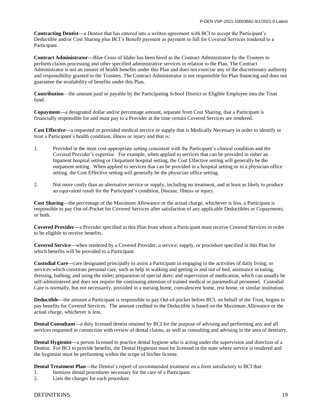**Contracting Dentist—**a Dentist that has entered into a written agreement with BCI to accept the Participant's Deductible and/or Cost Sharing plus BCI's Benefit payment as payment in full for Covered Services rendered to a Participant.

**Contract Administrator—**Blue Cross of Idaho has been hired as the Contract Administrator by the Trustees to perform claims processing and other specified administrative services in relation to the Plan. The Contract Administrator is not an insurer of health benefits under this Plan and does not exercise any of the discretionary authority and responsibility granted to the Trustees. The Contract Administrator is not responsible for Plan financing and does not guarantee the availability of benefits under this Plan.

**Contribution**—the amount paid or payable by the Participating School District or Eligible Employee into the Trust fund.

**Copayment—**a designated dollar and/or percentage amount, separate from Cost Sharing, that a Participant is financially responsible for and must pay to a Provider at the time certain Covered Services are rendered.

**Cost Effective—**a requested or provided medical service or supply that is Medically Necessary in order to identify or treat a Participant's health condition, illness or injury and that is:

- 1. Provided in the most cost-appropriate setting consistent with the Participant's clinical condition and the Covered Provider's expertise. For example, when applied to services that can be provided in either an Inpatient hospital setting or Outpatient hospital setting, the Cost Effective setting will generally be the outpatient setting. When applied to services that can be provided in a hospital setting or in a physician office setting, the Cost Effective setting will generally be the physician office setting.
- 2. Not more costly than an alternative service or supply, including no treatment, and at least as likely to produce an equivalent result for the Participant's condition, Disease, Illness or injury.

**Cost Sharing—**the percentage of the Maximum Allowance or the actual charge, whichever is less, a Participant is responsible to pay Out-of-Pocket for Covered Services after satisfaction of any applicable Deductibles or Copayments, or both.

**Covered Provider—**a Provider specified in this Plan from whom a Participant must receive Covered Services in order to be eligible to receive benefits.

**Covered Service—**when rendered by a Covered Provider, a service, supply, or procedure specified in this Plan for which benefits will be provided to a Participant.

**Custodial Care—**care designated principally to assist a Participant in engaging in the activities of daily living; or services which constitute personal care, such as help in walking and getting in and out of bed, assistance in eating, dressing, bathing, and using the toilet; preparation of special diets; and supervision of medication, which can usually be self-administered and does not require the continuing attention of trained medical or paramedical personnel. Custodial Care is normally, but not necessarily, provided in a nursing home, convalescent home, rest home, or similar institution.

**Deductible—**the amount a Participant is responsible to pay Out-of-pocket before BCI, on behalf of the Trust, begins to pay benefits for Covered Services. The amount credited to the Deductible is based on the Maximum Allowance or the actual charge, whichever is less.

**Dental Consultant—**a duly licensed dentist retained by BCI for the purpose of advising and performing any and all services requested in connection with review of dental claims, as well as consulting and advising in the area of dentistry.

**Dental Hygienist—**a person licensed to practice dental hygiene who is acting under the supervision and direction of a Dentist. For BCI to provide benefits, the Dental Hygienist must be licensed in the state where service is rendered and the hygienist must be performing within the scope of his/her license.

**Dental Treatment Plan—**the Dentist's report of recommended treatment on a form satisfactory to BCI that:

- 1. Itemizes dental procedures necessary for the care of a Participant.
- 2. Lists the charges for each procedure.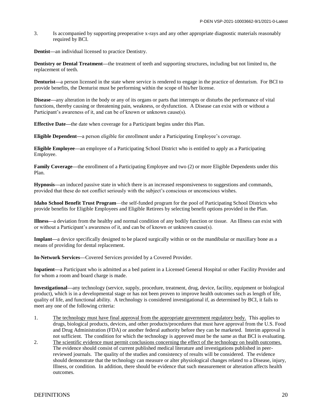3. Is accompanied by supporting preoperative x-rays and any other appropriate diagnostic materials reasonably required by BCI.

**Dentist—**an individual licensed to practice Dentistry.

**Dentistry or Dental Treatment—**the treatment of teeth and supporting structures, including but not limited to, the replacement of teeth.

**Denturist—**a person licensed in the state where service is rendered to engage in the practice of denturism. For BCI to provide benefits, the Denturist must be performing within the scope of his/her license.

**Disease—**any alteration in the body or any of its organs or parts that interrupts or disturbs the performance of vital functions, thereby causing or threatening pain, weakness, or dysfunction. A Disease can exist with or without a Participant's awareness of it, and can be of known or unknown cause(s).

**Effective Date—**the date when coverage for a Participant begins under this Plan.

**Eligible Dependent—**a person eligible for enrollment under a Participating Employee's coverage.

**Eligible Employee—**an employee of a Participating School District who is entitled to apply as a Participating Employee.

**Family Coverage—the enrollment of a Participating Employee and two (2) or more Eligible Dependents under this** Plan.

**Hypnosis—**an induced passive state in which there is an increased responsiveness to suggestions and commands, provided that these do not conflict seriously with the subject's conscious or unconscious wishes.

**Idaho School Benefit Trust Program**—the self-funded program for the pool of Participating School Districts who provide benefits for Eligible Employees and Eligible Retirees by selecting benefit options provided in the Plan.

**Illness—**a deviation from the healthy and normal condition of any bodily function or tissue. An Illness can exist with or without a Participant's awareness of it, and can be of known or unknown cause(s).

**Implant—**a device specifically designed to be placed surgically within or on the mandibular or maxillary bone as a means of providing for dental replacement.

**In-Network Services—**Covered Services provided by a Covered Provider.

**Inpatient—**a Participant who is admitted as a bed patient in a Licensed General Hospital or other Facility Provider and for whom a room and board charge is made.

**Investigational—**any technology (service, supply, procedure, treatment, drug, device, facility, equipment or biological product), which is in a developmental stage or has not been proven to improve health outcomes such as length of life, quality of life, and functional ability. A technology is considered investigational if, as determined by BCI, it fails to meet any one of the following criteria:

- 1. The technology must have final approval from the appropriate government regulatory body. This applies to drugs, biological products, devices, and other products/procedures that must have approval from the U.S. Food and Drug Administration (FDA) or another federal authority before they can be marketed. Interim approval is not sufficient. The condition for which the technology is approved must be the same as that BCI is evaluating.
- 2. The scientific evidence must permit conclusions concerning the effect of the technology on health outcomes. The evidence should consist of current published medical literature and investigations published in peerreviewed journals. The quality of the studies and consistency of results will be considered. The evidence should demonstrate that the technology can measure or alter physiological changes related to a Disease, injury, Illness, or condition. In addition, there should be evidence that such measurement or alteration affects health outcomes.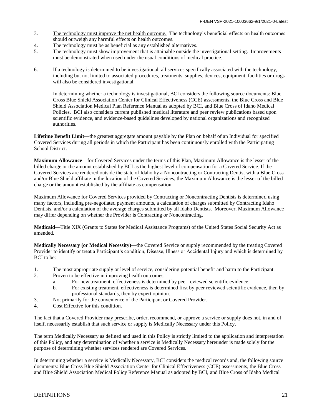- 3. The technology must improve the net health outcome. The technology's beneficial effects on health outcomes should outweigh any harmful effects on health outcomes.
- 4. The technology must be as beneficial as any established alternatives.
- 5. The technology must show improvement that is attainable outside the investigational setting. Improvements must be demonstrated when used under the usual conditions of medical practice.
- 6. If a technology is determined to be investigational, all services specifically associated with the technology, including but not limited to associated procedures, treatments, supplies, devices, equipment, facilities or drugs will also be considered investigational.

In determining whether a technology is investigational, BCI considers the following source documents: Blue Cross Blue Shield Association Center for Clinical Effectiveness (CCE) assessments, the Blue Cross and Blue Shield Association Medical Plan Reference Manual as adopted by BCI, and Blue Cross of Idaho Medical Policies. BCI also considers current published medical literature and peer review publications based upon scientific evidence, and evidence-based guidelines developed by national organizations and recognized authorities.

**Lifetime Benefit Limit—**the greatest aggregate amount payable by the Plan on behalf of an Individual for specified Covered Services during all periods in which the Participant has been continuously enrolled with the Participating School District.

**Maximum Allowance—**for Covered Services under the terms of this Plan, Maximum Allowance is the lesser of the billed charge or the amount established by BCI as the highest level of compensation for a Covered Service. If the Covered Services are rendered outside the state of Idaho by a Noncontracting or Contracting Dentist with a Blue Cross and/or Blue Shield affiliate in the location of the Covered Services, the Maximum Allowance is the lesser of the billed charge or the amount established by the affiliate as compensation.

Maximum Allowance for Covered Services provided by Contracting or Noncontracting Dentists is determined using many factors, including pre-negotiated payment amounts, a calculation of charges submitted by Contracting Idaho Dentists, and/or a calculation of the average charges submitted by all Idaho Dentists. Moreover, Maximum Allowance may differ depending on whether the Provider is Contracting or Noncontracting.

**Medicaid**—Title XIX (Grants to States for Medical Assistance Programs) of the United States Social Security Act as amended.

**Medically Necessary (or Medical Necessity)—**the Covered Service or supply recommended by the treating Covered Provider to identify or treat a Participant's condition, Disease, Illness or Accidental Injury and which is determined by BCI to be:

- 1. The most appropriate supply or level of service, considering potential benefit and harm to the Participant.
- 2. Proven to be effective in improving health outcomes;
	- a. For new treatment, effectiveness is determined by peer reviewed scientific evidence;
	- b. For existing treatment, effectiveness is determined first by peer reviewed scientific evidence, then by professional standards, then by expert opinion.
- 3. Not primarily for the convenience of the Participant or Covered Provider.
- 4. Cost Effective for this condition.

The fact that a Covered Provider may prescribe, order, recommend, or approve a service or supply does not, in and of itself, necessarily establish that such service or supply is Medically Necessary under this Policy.

The term Medically Necessary as defined and used in this Policy is strictly limited to the application and interpretation of this Policy, and any determination of whether a service is Medically Necessary hereunder is made solely for the purpose of determining whether services rendered are Covered Services.

In determining whether a service is Medically Necessary, BCI considers the medical records and, the following source documents: Blue Cross Blue Shield Association Center for Clinical Effectiveness (CCE) assessments, the Blue Cross and Blue Shield Association Medical Policy Reference Manual as adopted by BCI, and Blue Cross of Idaho Medical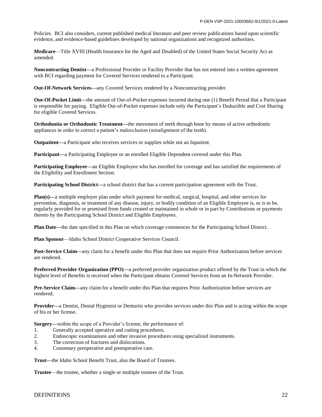Policies. BCI also considers, current published medical literature and peer review publications based upon scientific evidence, and evidence-based guidelines developed by national organizations and recognized authorities.

**Medicare**—Title XVIII (Health Insurance for the Aged and Disabled) of the United States Social Security Act as amended.

**Noncontracting Dentist—**a Professional Provider or Facility Provider that has not entered into a written agreement with BCI regarding payment for Covered Services rendered to a Participant.

**Out-Of-Network Services—**any Covered Services rendered by a Noncontracting provider.

**Out-Of-Pocket Limit—**the amount of Out-of-Pocket expenses incurred during one (1) Benefit Period that a Participant is responsible for paying. Eligible Out-of-Pocket expenses include only the Participant's Deductible and Cost Sharing for eligible Covered Services.

**Orthodontia or Orthodontic Treatment—**the movement of teeth through bone by means of active orthodontic appliances in order to correct a patient's malocclusion (misalignment of the teeth).

**Outpatient—**a Participant who receives services or supplies while not an Inpatient.

**Participant—**a Participating Employee or an enrolled Eligible Dependent covered under this Plan.

**Participating Employee—an Eligible Employee who has enrolled for coverage and has satisfied the requirements of** the Eligibility and Enrollment Section.

**Participating School District—a** school district that has a current participation agreement with the Trust.

**Plan(s)—**a multiple employer plan under which payment for medical, surgical, hospital, and other services for prevention, diagnosis, or treatment of any disease, injury, or bodily condition of an Eligible Employee is, or is to be, regularly provided for or promised from funds created or maintained in whole or in part by Contributions or payments thereto by the Participating School District and Eligible Employees.

**Plan Date—**the date specified in this Plan on which coverage commences for the Participating School District.

**Plan Sponsor**—Idaho School District Cooperative Services Council.

**Post-Service Claim—**any claim for a benefit under this Plan that does not require Prior Authorization before services are rendered.

**Preferred Provider Organization (PPO)—**a preferred provider organization product offered by the Trust in which the highest level of Benefits is received when the Participant obtains Covered Services from an In-Network Provider.

**Pre-Service Claim—**any claim for a benefit under this Plan that requires Prior Authorization before services are rendered.

**Provider—**a Dentist, Dental Hygienist or Denturist who provides services under this Plan and is acting within the scope of his or her license.

**Surgery—**within the scope of a Provider's license, the performance of:

- 1. Generally accepted operative and cutting procedures.<br>2. Endoscopic examinations and other invasive procedures
- 2. Endoscopic examinations and other invasive procedures using specialized instruments.
- 3. The correction of fractures and dislocations.
- 4. Customary preoperative and postoperative care.

**Trust—**the Idaho School Benefit Trust, also the Board of Trustees.

**Trustee**—the trustee, whether a single or multiple trustees of the Trust.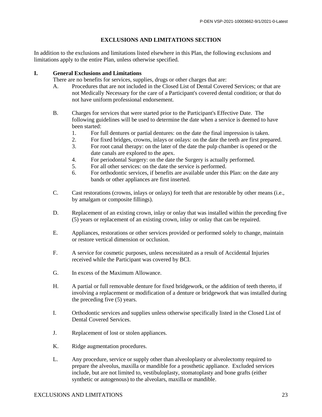#### **EXCLUSIONS AND LIMITATIONS SECTION**

In addition to the exclusions and limitations listed elsewhere in this Plan, the following exclusions and limitations apply to the entire Plan, unless otherwise specified.

#### **I. General Exclusions and Limitations**

There are no benefits for services, supplies, drugs or other charges that are:

- A. Procedures that are not included in the Closed List of Dental Covered Services; or that are not Medically Necessary for the care of a Participant's covered dental condition; or that do not have uniform professional endorsement.
- B. Charges for services that were started prior to the Participant's Effective Date. The following guidelines will be used to determine the date when a service is deemed to have been started:
	- 1. For full dentures or partial dentures: on the date the final impression is taken.
	- 2. For fixed bridges, crowns, inlays or onlays: on the date the teeth are first prepared.
	- 3. For root canal therapy: on the later of the date the pulp chamber is opened or the date canals are explored to the apex.
	- 4. For periodontal Surgery: on the date the Surgery is actually performed.
	- 5. For all other services: on the date the service is performed.
	- 6. For orthodontic services, if benefits are available under this Plan: on the date any bands or other appliances are first inserted.
- C. Cast restorations (crowns, inlays or onlays) for teeth that are restorable by other means (i.e., by amalgam or composite fillings).
- D. Replacement of an existing crown, inlay or onlay that was installed within the preceding five (5) years or replacement of an existing crown, inlay or onlay that can be repaired.
- E. Appliances, restorations or other services provided or performed solely to change, maintain or restore vertical dimension or occlusion.
- F. A service for cosmetic purposes, unless necessitated as a result of Accidental Injuries received while the Participant was covered by BCI.
- G. In excess of the Maximum Allowance.
- H. A partial or full removable denture for fixed bridgework, or the addition of teeth thereto, if involving a replacement or modification of a denture or bridgework that was installed during the preceding five (5) years.
- I. Orthodontic services and supplies unless otherwise specifically listed in the Closed List of Dental Covered Services.
- J. Replacement of lost or stolen appliances.
- K. Ridge augmentation procedures.
- L. Any procedure, service or supply other than alveoloplasty or alveolectomy required to prepare the alveolus, maxilla or mandible for a prosthetic appliance. Excluded services include, but are not limited to, vestibuloplasty, stomatoplasty and bone grafts (either synthetic or autogenous) to the alveolars, maxilla or mandible.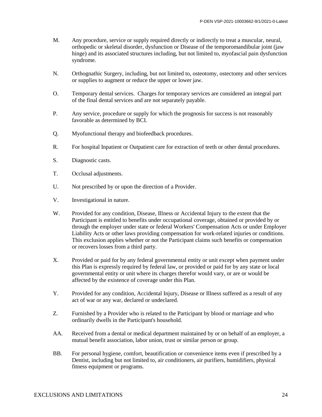- M. Any procedure, service or supply required directly or indirectly to treat a muscular, neural, orthopedic or skeletal disorder, dysfunction or Disease of the temporomandibular joint (jaw hinge) and its associated structures including, but not limited to, myofascial pain dysfunction syndrome.
- N. Orthognathic Surgery, including, but not limited to, osteotomy, ostectomy and other services or supplies to augment or reduce the upper or lower jaw.
- O. Temporary dental services. Charges for temporary services are considered an integral part of the final dental services and are not separately payable.
- P. Any service, procedure or supply for which the prognosis for success is not reasonably favorable as determined by BCI.
- Q. Myofunctional therapy and biofeedback procedures.
- R. For hospital Inpatient or Outpatient care for extraction of teeth or other dental procedures.
- S. Diagnostic casts.
- T. Occlusal adjustments.
- U. Not prescribed by or upon the direction of a Provider.
- V. Investigational in nature.
- W. Provided for any condition, Disease, Illness or Accidental Injury to the extent that the Participant is entitled to benefits under occupational coverage, obtained or provided by or through the employer under state or federal Workers' Compensation Acts or under Employer Liability Acts or other laws providing compensation for work-related injuries or conditions. This exclusion applies whether or not the Participant claims such benefits or compensation or recovers losses from a third party.
- X. Provided or paid for by any federal governmental entity or unit except when payment under this Plan is expressly required by federal law, or provided or paid for by any state or local governmental entity or unit where its charges therefor would vary, or are or would be affected by the existence of coverage under this Plan.
- Y. Provided for any condition, Accidental Injury, Disease or Illness suffered as a result of any act of war or any war, declared or undeclared.
- Z. Furnished by a Provider who is related to the Participant by blood or marriage and who ordinarily dwells in the Participant's household.
- AA. Received from a dental or medical department maintained by or on behalf of an employer, a mutual benefit association, labor union, trust or similar person or group.
- BB. For personal hygiene, comfort, beautification or convenience items even if prescribed by a Dentist, including but not limited to, air conditioners, air purifiers, humidifiers, physical fitness equipment or programs.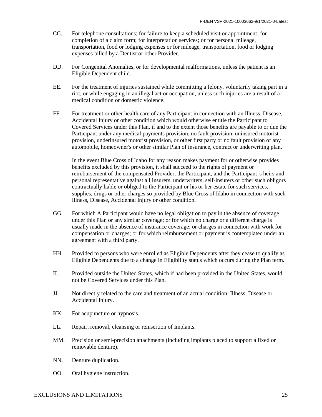- CC. For telephone consultations; for failure to keep a scheduled visit or appointment; for completion of a claim form; for interpretation services; or for personal mileage, transportation, food or lodging expenses or for mileage, transportation, food or lodging expenses billed by a Dentist or other Provider.
- DD. For Congenital Anomalies, or for developmental malformations, unless the patient is an Eligible Dependent child.
- EE. For the treatment of injuries sustained while committing a felony, voluntarily taking part in a riot, or while engaging in an illegal act or occupation, unless such injuries are a result of a medical condition or domestic violence.
- FF. For treatment or other health care of any Participant in connection with an Illness, Disease, Accidental Injury or other condition which would otherwise entitle the Participant to Covered Services under this Plan, if and to the extent those benefits are payable to or due the Participant under any medical payments provision, no fault provision, uninsured motorist provision, underinsured motorist provision, or other first party or no fault provision of any automobile, homeowner's or other similar Plan of insurance, contract or underwriting plan.

In the event Blue Cross of Idaho for any reason makes payment for or otherwise provides benefits excluded by this provision, it shall succeed to the rights of payment or reimbursement of the compensated Provider, the Participant, and the Participant 's heirs and personal representative against all insurers, underwriters, self-insurers or other such obligors contractually liable or obliged to the Participant or his or her estate for such services, supplies, drugs or other charges so provided by Blue Cross of Idaho in connection with such Illness, Disease, Accidental Injury or other condition.

- GG. For which A Participant would have no legal obligation to pay in the absence of coverage under this Plan or any similar coverage; or for which no charge or a different charge is usually made in the absence of insurance coverage; or charges in connection with work for compensation or charges; or for which reimbursement or payment is contemplated under an agreement with a third party.
- HH. Provided to persons who were enrolled as Eligible Dependents after they cease to qualify as Eligible Dependents due to a change in Eligibility status which occurs during the Plan term.
- II. Provided outside the United States, which if had been provided in the United States, would not be Covered Services under this Plan.
- JJ. Not directly related to the care and treatment of an actual condition, Illness, Disease or Accidental Injury.
- KK. For acupuncture or hypnosis.
- LL. Repair, removal, cleansing or reinsertion of Implants.
- MM. Precision or semi-precision attachments (including implants placed to support a fixed or removable denture).
- NN. Denture duplication.
- OO. Oral hygiene instruction.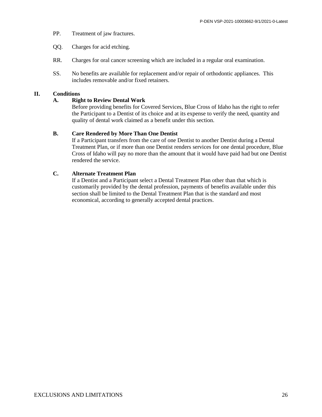- PP. Treatment of jaw fractures.
- QQ. Charges for acid etching.
- RR. Charges for oral cancer screening which are included in a regular oral examination.
- SS. No benefits are available for replacement and/or repair of orthodontic appliances. This includes removable and/or fixed retainers.

#### **II. Conditions**

#### **A. Right to Review Dental Work**

Before providing benefits for Covered Services, Blue Cross of Idaho has the right to refer the Participant to a Dentist of its choice and at its expense to verify the need, quantity and quality of dental work claimed as a benefit under this section.

#### **B. Care Rendered by More Than One Dentist**

If a Participant transfers from the care of one Dentist to another Dentist during a Dental Treatment Plan, or if more than one Dentist renders services for one dental procedure, Blue Cross of Idaho will pay no more than the amount that it would have paid had but one Dentist rendered the service.

#### **C. Alternate Treatment Plan**

If a Dentist and a Participant select a Dental Treatment Plan other than that which is customarily provided by the dental profession, payments of benefits available under this section shall be limited to the Dental Treatment Plan that is the standard and most economical, according to generally accepted dental practices.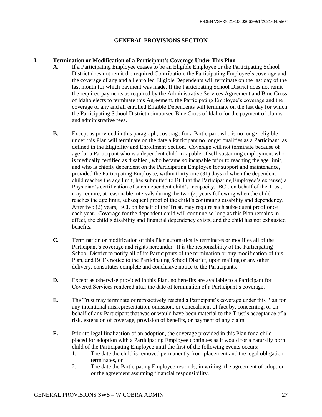#### **GENERAL PROVISIONS SECTION**

#### **I. Termination or Modification of a Participant's Coverage Under This Plan**

- **A.** If a Participating Employee ceases to be an Eligible Employee or the Participating School District does not remit the required Contribution, the Participating Employee's coverage and the coverage of any and all enrolled Eligible Dependents will terminate on the last day of the last month for which payment was made. If the Participating School District does not remit the required payments as required by the Administrative Services Agreement and Blue Cross of Idaho elects to terminate this Agreement, the Participating Employee's coverage and the coverage of any and all enrolled Eligible Dependents will terminate on the last day for which the Participating School District reimbursed Blue Cross of Idaho for the payment of claims and administrative fees.
- **B.** Except as provided in this paragraph, coverage for a Participant who is no longer eligible under this Plan will terminate on the date a Participant no longer qualifies as a Participant, as defined in the Eligibility and Enrollment Section. Coverage will not terminate because of age for a Participant who is a dependent child incapable of self-sustaining employment who is medically certified as disabled , who became so incapable prior to reaching the age limit, and who is chiefly dependent on the Participating Employee for support and maintenance, provided the Participating Employee, within thirty-one (31) days of when the dependent child reaches the age limit, has submitted to BCI (at the Participating Employee's expense) a Physician's certification of such dependent child's incapacity. BCI, on behalf of the Trust, may require, at reasonable intervals during the two (2) years following when the child reaches the age limit, subsequent proof of the child's continuing disability and dependency. After two (2) years, BCI, on behalf of the Trust, may require such subsequent proof once each year. Coverage for the dependent child will continue so long as this Plan remains in effect, the child's disability and financial dependency exists, and the child has not exhausted benefits.
- **C.** Termination or modification of this Plan automatically terminates or modifies all of the Participant's coverage and rights hereunder. It is the responsibility of the Participating School District to notify all of its Participants of the termination or any modification of this Plan, and BCI's notice to the Participating School District, upon mailing or any other delivery, constitutes complete and conclusive notice to the Participants.
- **D.** Except as otherwise provided in this Plan, no benefits are available to a Participant for Covered Services rendered after the date of termination of a Participant's coverage.
- **E.** The Trust may terminate or retroactively rescind a Participant's coverage under this Plan for any intentional misrepresentation, omission, or concealment of fact by, concerning, or on behalf of any Participant that was or would have been material to the Trust's acceptance of a risk, extension of coverage, provision of benefits, or payment of any claim.
- **F.** Prior to legal finalization of an adoption, the coverage provided in this Plan for a child placed for adoption with a Participating Employee continues as it would for a naturally born child of the Participating Employee until the first of the following events occurs:
	- 1. The date the child is removed permanently from placement and the legal obligation terminates, or
	- 2. The date the Participating Employee rescinds, in writing, the agreement of adoption or the agreement assuming financial responsibility.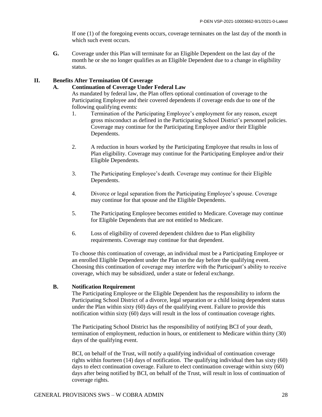If one (1) of the foregoing events occurs, coverage terminates on the last day of the month in which such event occurs.

**G.** Coverage under this Plan will terminate for an Eligible Dependent on the last day of the month he or she no longer qualifies as an Eligible Dependent due to a change in eligibility status.

#### **II. Benefits After Termination Of Coverage**

#### **A. Continuation of Coverage Under Federal Law**

As mandated by federal law, the Plan offers optional continuation of coverage to the Participating Employee and their covered dependents if coverage ends due to one of the following qualifying events:

- 1. Termination of the Participating Employee's employment for any reason, except gross misconduct as defined in the Participating School District's personnel policies. Coverage may continue for the Participating Employee and/or their Eligible Dependents.
- 2. A reduction in hours worked by the Participating Employee that results in loss of Plan eligibility. Coverage may continue for the Participating Employee and/or their Eligible Dependents.
- 3. The Participating Employee's death. Coverage may continue for their Eligible Dependents.
- 4. Divorce or legal separation from the Participating Employee's spouse. Coverage may continue for that spouse and the Eligible Dependents.
- 5. The Participating Employee becomes entitled to Medicare. Coverage may continue for Eligible Dependents that are not entitled to Medicare.
- 6. Loss of eligibility of covered dependent children due to Plan eligibility requirements. Coverage may continue for that dependent.

To choose this continuation of coverage, an individual must be a Participating Employee or an enrolled Eligible Dependent under the Plan on the day before the qualifying event. Choosing this continuation of coverage may interfere with the Participant's ability to receive coverage, which may be subsidized, under a state or federal exchange.

#### **B. Notification Requirement**

The Participating Employee or the Eligible Dependent has the responsibility to inform the Participating School District of a divorce, legal separation or a child losing dependent status under the Plan within sixty (60) days of the qualifying event. Failure to provide this notification within sixty (60) days will result in the loss of continuation coverage rights.

The Participating School District has the responsibility of notifying BCI of your death, termination of employment, reduction in hours, or entitlement to Medicare within thirty (30) days of the qualifying event.

BCI, on behalf of the Trust, will notify a qualifying individual of continuation coverage rights within fourteen (14) days of notification. The qualifying individual then has sixty (60) days to elect continuation coverage. Failure to elect continuation coverage within sixty (60) days after being notified by BCI, on behalf of the Trust, will result in loss of continuation of coverage rights.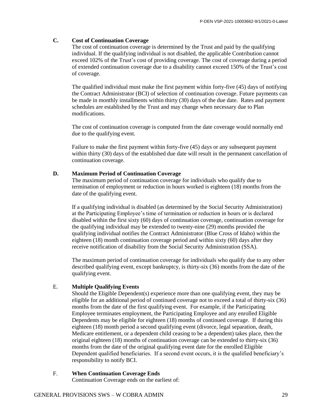#### **C. Cost of Continuation Coverage**

The cost of continuation coverage is determined by the Trust and paid by the qualifying individual. If the qualifying individual is not disabled, the applicable Contribution cannot exceed 102% of the Trust's cost of providing coverage. The cost of coverage during a period of extended continuation coverage due to a disability cannot exceed 150% of the Trust's cost of coverage.

The qualified individual must make the first payment within forty-five (45) days of notifying the Contract Administrator (BCI) of selection of continuation coverage. Future payments can be made in monthly installments within thirty (30) days of the due date. Rates and payment schedules are established by the Trust and may change when necessary due to Plan modifications.

The cost of continuation coverage is computed from the date coverage would normally end due to the qualifying event.

Failure to make the first payment within forty-five (45) days or any subsequent payment within thirty (30) days of the established due date will result in the permanent cancellation of continuation coverage.

#### **D. Maximum Period of Continuation Coverage**

The maximum period of continuation coverage for individuals who qualify due to termination of employment or reduction in hours worked is eighteen (18) months from the date of the qualifying event.

If a qualifying individual is disabled (as determined by the Social Security Administration) at the Participating Employee's time of termination or reduction in hours or is declared disabled within the first sixty (60) days of continuation coverage, continuation coverage for the qualifying individual may be extended to twenty-nine (29) months provided the qualifying individual notifies the Contract Administrator (Blue Cross of Idaho) within the eighteen (18) month continuation coverage period and within sixty (60) days after they receive notification of disability from the Social Security Administration (SSA).

The maximum period of continuation coverage for individuals who qualify due to any other described qualifying event, except bankruptcy, is thirty-six (36) months from the date of the qualifying event.

#### E. **Multiple Qualifying Events**

Should the Eligible Dependent(s) experience more than one qualifying event, they may be eligible for an additional period of continued coverage not to exceed a total of thirty-six (36) months from the date of the first qualifying event. For example, if the Participating Employee terminates employment, the Participating Employee and any enrolled Eligible Dependents may be eligible for eighteen (18) months of continued coverage. If during this eighteen (18) month period a second qualifying event (divorce, legal separation, death, Medicare entitlement, or a dependent child ceasing to be a dependent) takes place, then the original eighteen (18) months of continuation coverage can be extended to thirty-six (36) months from the date of the original qualifying event date for the enrolled Eligible Dependent qualified beneficiaries. If a second event occurs, it is the qualified beneficiary's responsibility to notify BCI.

F. **When Continuation Coverage Ends** Continuation Coverage ends on the earliest of: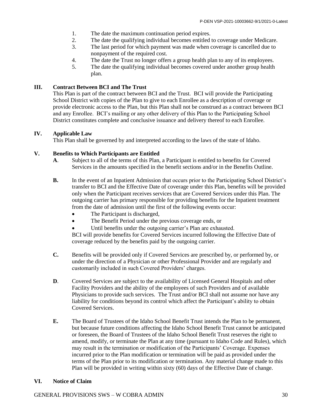- 1. The date the maximum continuation period expires.
- 2. The date the qualifying individual becomes entitled to coverage under Medicare.
- 3. The last period for which payment was made when coverage is cancelled due to nonpayment of the required cost.
- 4. The date the Trust no longer offers a group health plan to any of its employees.
- 5. The date the qualifying individual becomes covered under another group health plan.

#### **III. Contract Between BCI and The Trust**

This Plan is part of the contract between BCI and the Trust. BCI will provide the Participating School District with copies of the Plan to give to each Enrollee as a description of coverage or provide electronic access to the Plan, but this Plan shall not be construed as a contract between BCI and any Enrollee. BCI's mailing or any other delivery of this Plan to the Participating School District constitutes complete and conclusive issuance and delivery thereof to each Enrollee.

#### **IV. Applicable Law**

This Plan shall be governed by and interpreted according to the laws of the state of Idaho.

#### **V. Benefits to Which Participants are Entitled**

- **A**. Subject to all of the terms of this Plan, a Participant is entitled to benefits for Covered Services in the amounts specified in the benefit sections and/or in the Benefits Outline.
- **B.** In the event of an Inpatient Admission that occurs prior to the Participating School District's transfer to BCI and the Effective Date of coverage under this Plan, benefits will be provided only when the Participant receives services that are Covered Services under this Plan. The outgoing carrier has primary responsible for providing benefits for the Inpatient treatment from the date of admission until the first of the following events occur:
	- The Participant is discharged,
	- The Benefit Period under the previous coverage ends, or
	- Until benefits under the outgoing carrier's Plan are exhausted.

BCI will provide benefits for Covered Services incurred following the Effective Date of coverage reduced by the benefits paid by the outgoing carrier.

- **C.** Benefits will be provided only if Covered Services are prescribed by, or performed by, or under the direction of a Physician or other Professional Provider and are regularly and customarily included in such Covered Providers' charges.
- **D.** Covered Services are subject to the availability of Licensed General Hospitals and other Facility Providers and the ability of the employees of such Providers and of available Physicians to provide such services. The Trust and/or BCI shall not assume nor have any liability for conditions beyond its control which affect the Participant's ability to obtain Covered Services.
- **E.** The Board of Trustees of the Idaho School Benefit Trust intends the Plan to be permanent, but because future conditions affecting the Idaho School Benefit Trust cannot be anticipated or foreseen, the Board of Trustees of the Idaho School Benefit Trust reserves the right to amend, modify, or terminate the Plan at any time (pursuant to Idaho Code and Rules), which may result in the termination or modification of the Participants' Coverage. Expenses incurred prior to the Plan modification or termination will be paid as provided under the terms of the Plan prior to its modification or termination. Any material change made to this Plan will be provided in writing within sixty (60) days of the Effective Date of change.

#### **VI. Notice of Claim**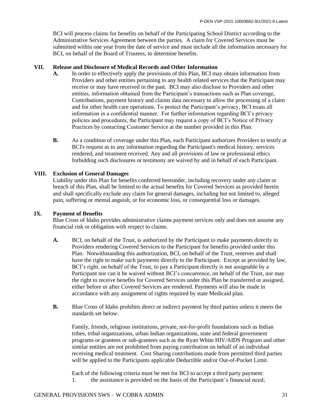BCI will process claims for benefits on behalf of the Participating School District according to the Administrative Services Agreement between the parties. A claim for Covered Services must be submitted within one year from the date of service and must include all the information necessary for BCI, on behalf of the Board of Trustees, to determine benefits.

#### **VII. Release and Disclosure of Medical Records and Other Information**

- **A.** In order to effectively apply the provisions of this Plan, BCI may obtain information from Providers and other entities pertaining to any health related services that the Participant may receive or may have received in the past. BCI may also disclose to Providers and other entities, information obtained from the Participant's transactions such as Plan coverage, Contributions, payment history and claims data necessary to allow the processing of a claim and for other health care operations. To protect the Participant's privacy, BCI treats all information in a confidential manner. For further information regarding BCI's privacy policies and procedures, the Participant may request a copy of BCI's Notice of Privacy Practices by contacting Customer Service at the number provided in this Plan.
- **B.** As a condition of coverage under this Plan, each Participant authorizes Providers to testify at BCI's request as to any information regarding the Participant's medical history, services rendered, and treatment received. Any and all provisions of law or professional ethics forbidding such disclosures or testimony are waived by and in behalf of each Participant.

#### **VIII. Exclusion of General Damages**

Liability under this Plan for benefits conferred hereunder, including recovery under any claim or breach of this Plan, shall be limited to the actual benefits for Covered Services as provided herein and shall specifically exclude any claim for general damages, including but not limited to, alleged pain, suffering or mental anguish, or for economic loss, or consequential loss or damages.

#### **IX. Payment of Benefits**

Blue Cross of Idaho provides administrative claims payment services only and does not assume any financial risk or obligation with respect to claims.

- **A.** BCI, on behalf of the Trust, is authorized by the Participant to make payments directly to Providers rendering Covered Services to the Participant for benefits provided under this Plan. Notwithstanding this authorization, BCI, on behalf of the Trust, reserves and shall have the right to make such payments directly to the Participant. Except as provided by law, BCI's right, on behalf of the Trust, to pay a Participant directly is not assignable by a Participant nor can it be waived without BCI's concurrence, on behalf of the Trust, nor may the right to receive benefits for Covered Services under this Plan be transferred or assigned, either before or after Covered Services are rendered. Payments will also be made in accordance with any assignment of rights required by state Medicaid plan.
- **B.** Blue Cross of Idaho prohibits direct or indirect payment by third parties unless it meets the standards set below.

Family, friends, religious institutions, private, not-for-profit foundations such as Indian tribes, tribal organizations, urban Indian organizations, state and federal government programs or grantees or sub-grantees such as the Ryan White HIV/AIDS Program and other similar entities are not prohibited from paying contribution on behalf of an individual receiving medical treatment. Cost Sharing contributions made from permitted third parties will be applied to the Participants applicable Deductible and/or Out-of-Pocket Limit.

Each of the following criteria must be met for BCI to accept a third party payment: 1. the assistance is provided on the basis of the Participant's financial need;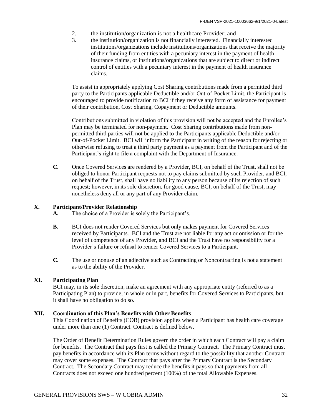- 2. the institution/organization is not a healthcare Provider; and
- 3. the institution/organization is not financially interested. Financially interested institutions/organizations include institutions/organizations that receive the majority of their funding from entities with a pecuniary interest in the payment of health insurance claims, or institutions/organizations that are subject to direct or indirect control of entities with a pecuniary interest in the payment of health insurance claims.

To assist in appropriately applying Cost Sharing contributions made from a permitted third party to the Participants applicable Deductible and/or Out-of-Pocket Limit, the Participant is encouraged to provide notification to BCI if they receive any form of assistance for payment of their contribution, Cost Sharing, Copayment or Deductible amounts.

Contributions submitted in violation of this provision will not be accepted and the Enrollee's Plan may be terminated for non-payment. Cost Sharing contributions made from nonpermitted third parties will not be applied to the Participants applicable Deductible and/or Out-of-Pocket Limit. BCI will inform the Participant in writing of the reason for rejecting or otherwise refusing to treat a third party payment as a payment from the Participant and of the Participant's right to file a complaint with the Department of Insurance.

**C.** Once Covered Services are rendered by a Provider, BCI, on behalf of the Trust, shall not be obliged to honor Participant requests not to pay claims submitted by such Provider, and BCI, on behalf of the Trust, shall have no liability to any person because of its rejection of such request; however, in its sole discretion, for good cause, BCI, on behalf of the Trust, may nonetheless deny all or any part of any Provider claim.

#### **X. Participant/Provider Relationship**

- **A.** The choice of a Provider is solely the Participant's.
- **B.** BCI does not render Covered Services but only makes payment for Covered Services received by Participants. BCI and the Trust are not liable for any act or omission or for the level of competence of any Provider, and BCI and the Trust have no responsibility for a Provider's failure or refusal to render Covered Services to a Participant.
- **C.** The use or nonuse of an adjective such as Contracting or Noncontracting is not a statement as to the ability of the Provider.

#### **XI. Participating Plan**

BCI may, in its sole discretion, make an agreement with any appropriate entity (referred to as a Participating Plan) to provide, in whole or in part, benefits for Covered Services to Participants, but it shall have no obligation to do so.

#### **XII. Coordination of this Plan's Benefits with Other Benefits**

This Coordination of Benefits (COB) provision applies when a Participant has health care coverage under more than one (1) Contract. Contract is defined below.

The Order of Benefit Determination Rules govern the order in which each Contract will pay a claim for benefits. The Contract that pays first is called the Primary Contract. The Primary Contract must pay benefits in accordance with its Plan terms without regard to the possibility that another Contract may cover some expenses. The Contract that pays after the Primary Contract is the Secondary Contract. The Secondary Contract may reduce the benefits it pays so that payments from all Contracts does not exceed one hundred percent (100%) of the total Allowable Expenses.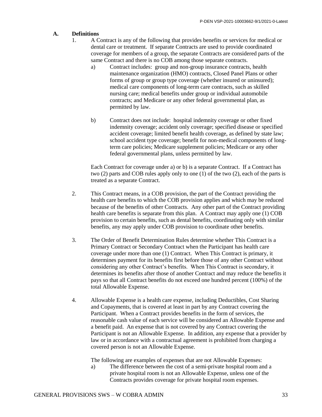#### **A. Definitions**

- 1. A Contract is any of the following that provides benefits or services for medical or dental care or treatment. If separate Contracts are used to provide coordinated coverage for members of a group, the separate Contracts are considered parts of the same Contract and there is no COB among those separate contracts.
	- a) Contract includes: group and non-group insurance contracts, health maintenance organization (HMO) contracts, Closed Panel Plans or other forms of group or group type coverage (whether insured or uninsured); medical care components of long-term care contracts, such as skilled nursing care; medical benefits under group or individual automobile contracts; and Medicare or any other federal governmental plan, as permitted by law.
	- b) Contract does not include: hospital indemnity coverage or other fixed indemnity coverage; accident only coverage; specified disease or specified accident coverage; limited benefit health coverage, as defined by state law; school accident type coverage; benefit for non-medical components of longterm care policies; Medicare supplement policies; Medicare or any other federal governmental plans, unless permitted by law.

Each Contract for coverage under a) or b) is a separate Contract. If a Contract has two (2) parts and COB rules apply only to one (1) of the two (2), each of the parts is treated as a separate Contract.

- 2. This Contract means, in a COB provision, the part of the Contract providing the health care benefits to which the COB provision applies and which may be reduced because of the benefits of other Contracts. Any other part of the Contract providing health care benefits is separate from this plan. A Contract may apply one (1) COB provision to certain benefits, such as dental benefits, coordinating only with similar benefits, any may apply under COB provision to coordinate other benefits.
- 3. The Order of Benefit Determination Rules determine whether This Contract is a Primary Contract or Secondary Contract when the Participant has health care coverage under more than one (1) Contract. When This Contract is primary, it determines payment for its benefits first before those of any other Contract without considering any other Contract's benefits. When This Contract is secondary, it determines its benefits after those of another Contract and may reduce the benefits it pays so that all Contract benefits do not exceed one hundred percent (100%) of the total Allowable Expense.
- 4. Allowable Expense is a health care expense, including Deductibles, Cost Sharing and Copayments, that is covered at least in part by any Contract covering the Participant. When a Contract provides benefits in the form of services, the reasonable cash value of each service will be considered an Allowable Expense and a benefit paid. An expense that is not covered by any Contract covering the Participant is not an Allowable Expense. In addition, any expense that a provider by law or in accordance with a contractual agreement is prohibited from charging a covered person is not an Allowable Expense.

The following are examples of expenses that are not Allowable Expenses:

a) The difference between the cost of a semi-private hospital room and a private hospital room is not an Allowable Expense, unless one of the Contracts provides coverage for private hospital room expenses.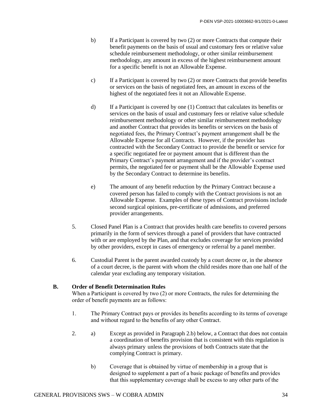- b) If a Participant is covered by two (2) or more Contracts that compute their benefit payments on the basis of usual and customary fees or relative value schedule reimbursement methodology, or other similar reimbursement methodology, any amount in excess of the highest reimbursement amount for a specific benefit is not an Allowable Expense.
- c) If a Participant is covered by two (2) or more Contracts that provide benefits or services on the basis of negotiated fees, an amount in excess of the highest of the negotiated fees it not an Allowable Expense.
- d) If a Participant is covered by one (1) Contract that calculates its benefits or services on the basis of usual and customary fees or relative value schedule reimbursement methodology or other similar reimbursement methodology and another Contract that provides its benefits or services on the basis of negotiated fees, the Primary Contract's payment arrangement shall be the Allowable Expense for all Contracts. However, if the provider has contracted with the Secondary Contract to provide the benefit or service for a specific negotiated fee or payment amount that is different than the Primary Contract's payment arrangement and if the provider's contract permits, the negotiated fee or payment shall be the Allowable Expense used by the Secondary Contract to determine its benefits.
- e) The amount of any benefit reduction by the Primary Contract because a covered person has failed to comply with the Contract provisions is not an Allowable Expense. Examples of these types of Contract provisions include second surgical opinions, pre-certificate of admissions, and preferred provider arrangements.
- 5. Closed Panel Plan is a Contract that provides health care benefits to covered persons primarily in the form of services through a panel of providers that have contracted with or are employed by the Plan, and that excludes coverage for services provided by other providers, except in cases of emergency or referral by a panel member.
- 6. Custodial Parent is the parent awarded custody by a court decree or, in the absence of a court decree, is the parent with whom the child resides more than one half of the calendar year excluding any temporary visitation.

#### **B. Order of Benefit Determination Rules**

When a Participant is covered by two (2) or more Contracts, the rules for determining the order of benefit payments are as follows:

- 1. The Primary Contract pays or provides its benefits according to its terms of coverage and without regard to the benefits of any other Contract.
- 2. a) Except as provided in Paragraph 2.b) below, a Contract that does not contain a coordination of benefits provision that is consistent with this regulation is always primary unless the provisions of both Contracts state that the complying Contract is primary.
	- b) Coverage that is obtained by virtue of membership in a group that is designed to supplement a part of a basic package of benefits and provides that this supplementary coverage shall be excess to any other parts of the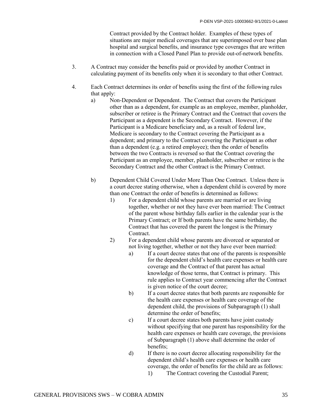Contract provided by the Contract holder. Examples of these types of situations are major medical coverages that are superimposed over base plan hospital and surgical benefits, and insurance type coverages that are written in connection with a Closed Panel Plan to provide out-of-network benefits.

- 3. A Contract may consider the benefits paid or provided by another Contract in calculating payment of its benefits only when it is secondary to that other Contract.
- 4. Each Contract determines its order of benefits using the first of the following rules that apply:
	- a) Non-Dependent or Dependent. The Contract that covers the Participant other than as a dependent, for example as an employee, member, planholder, subscriber or retiree is the Primary Contract and the Contract that covers the Participant as a dependent is the Secondary Contract. However, if the Participant is a Medicare beneficiary and, as a result of federal law, Medicare is secondary to the Contract covering the Participant as a dependent; and primary to the Contract covering the Participant as other than a dependent (e.g. a retired employee); then the order of benefits between the two Contracts is reversed so that the Contract covering the Participant as an employee, member, planholder, subscriber or retiree is the Secondary Contract and the other Contract is the Primary Contract.
	- b) Dependent Child Covered Under More Than One Contract. Unless there is a court decree stating otherwise, when a dependent child is covered by more than one Contract the order of benefits is determined as follows:
		- 1) For a dependent child whose parents are married or are living together, whether or not they have ever been married: The Contract of the parent whose birthday falls earlier in the calendar year is the Primary Contract; or If both parents have the same birthday, the Contract that has covered the parent the longest is the Primary **Contract**
		- 2) For a dependent child whose parents are divorced or separated or not living together, whether or not they have ever been married:
			- a) If a court decree states that one of the parents is responsible for the dependent child's health care expenses or health care coverage and the Contract of that parent has actual knowledge of those terms, that Contract is primary. This rule applies to Contract year commencing after the Contract is given notice of the court decree;
			- b) If a court decree states that both parents are responsible for the health care expenses or health care coverage of the dependent child, the provisions of Subparagraph (1) shall determine the order of benefits;
			- c) If a court decree states both parents have joint custody without specifying that one parent has responsibility for the health care expenses or health care coverage, the provisions of Subparagraph (1) above shall determine the order of benefits;
			- d) If there is no court decree allocating responsibility for the dependent child's health care expenses or health care coverage, the order of benefits for the child are as follows:
				- 1) The Contract covering the Custodial Parent;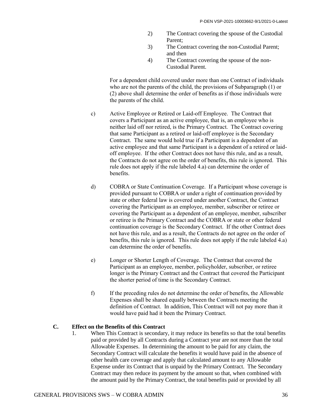- 2) The Contract covering the spouse of the Custodial Parent;
- 3) The Contract covering the non-Custodial Parent; and then
- 4) The Contract covering the spouse of the non-Custodial Parent.

For a dependent child covered under more than one Contract of individuals who are not the parents of the child, the provisions of Subparagraph (1) or (2) above shall determine the order of benefits as if those individuals were the parents of the child.

- c) Active Employee or Retired or Laid-off Employee. The Contract that covers a Participant as an active employee, that is, an employee who is neither laid off nor retired, is the Primary Contract. The Contract covering that same Participant as a retired or laid-off employee is the Secondary Contract. The same would hold true if a Participant is a dependent of an active employee and that same Participant is a dependent of a retired or laidoff employee. If the other Contract does not have this rule, and as a result, the Contracts do not agree on the order of benefits, this rule is ignored. This rule does not apply if the rule labeled 4.a) can determine the order of benefits.
- d) COBRA or State Continuation Coverage. If a Participant whose coverage is provided pursuant to COBRA or under a right of continuation provided by state or other federal law is covered under another Contract, the Contract covering the Participant as an employee, member, subscriber or retiree or covering the Participant as a dependent of an employee, member, subscriber or retiree is the Primary Contract and the COBRA or state or other federal continuation coverage is the Secondary Contract. If the other Contract does not have this rule, and as a result, the Contracts do not agree on the order of benefits, this rule is ignored. This rule does not apply if the rule labeled 4.a) can determine the order of benefits.
- e) Longer or Shorter Length of Coverage. The Contract that covered the Participant as an employee, member, policyholder, subscriber, or retiree longer is the Primary Contract and the Contract that covered the Participant the shorter period of time is the Secondary Contract.
- f) If the preceding rules do not determine the order of benefits, the Allowable Expenses shall be shared equally between the Contracts meeting the definition of Contract. In addition, This Contract will not pay more than it would have paid had it been the Primary Contract.

#### **C. Effect on the Benefits of this Contract**

1. When This Contract is secondary, it may reduce its benefits so that the total benefits paid or provided by all Contracts during a Contract year are not more than the total Allowable Expenses. In determining the amount to be paid for any claim, the Secondary Contract will calculate the benefits it would have paid in the absence of other health care coverage and apply that calculated amount to any Allowable Expense under its Contract that is unpaid by the Primary Contract. The Secondary Contract may then reduce its payment by the amount so that, when combined with the amount paid by the Primary Contract, the total benefits paid or provided by all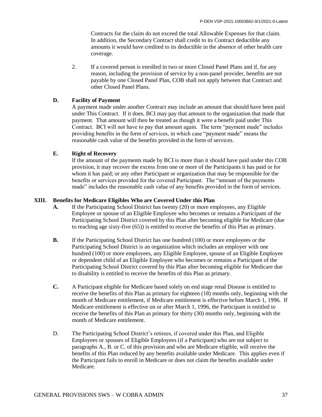Contracts for the claim do not exceed the total Allowable Expenses for that claim. In addition, the Secondary Contract shall credit to its Contract deductible any amounts it would have credited to its deductible in the absence of other health care coverage.

2. If a covered person is enrolled in two or more Closed Panel Plans and if, for any reason, including the provision of service by a non-panel provider, benefits are not payable by one Closed Panel Plan, COB shall not apply between that Contract and other Closed Panel Plans.

#### **D. Facility of Payment**

A payment made under another Contract may include an amount that should have been paid under This Contract. If it does, BCI may pay that amount to the organization that made that payment. That amount will then be treated as though it were a benefit paid under This Contract. BCI will not have to pay that amount again. The term "payment made" includes providing benefits in the form of services, in which case "payment made" means the reasonable cash value of the benefits provided in the form of services.

#### **E. Right of Recovery**

If the amount of the payments made by BCI is more than it should have paid under this COB provision, it may recover the excess from one or more of the Participants it has paid or for whom it has paid; or any other Participant or organization that may be responsible for the benefits or services provided for the covered Participant. The "amount of the payments" made" includes the reasonable cash value of any benefits provided in the form of services.

#### **XIII. Benefits for Medicare Eligibles Who are Covered Under this Plan**

- **A.** If the Participating School District has twenty (20) or more employees, any Eligible Employee or spouse of an Eligible Employee who becomes or remains a Participant of the Participating School District covered by this Plan after becoming eligible for Medicare (due to reaching age sixty-five (65)) is entitled to receive the benefits of this Plan as primary.
- **B.** If the Participating School District has one hundred (100) or more employees or the Participating School District is an organization which includes an employer with one hundred (100) or more employees, any Eligible Employee, spouse of an Eligible Employee or dependent child of an Eligible Employee who becomes or remains a Participant of the Participating School District covered by this Plan after becoming eligible for Medicare due to disability is entitled to receive the benefits of this Plan as primary.
- **C.** A Participant eligible for Medicare based solely on end stage renal Disease is entitled to receive the benefits of this Plan as primary for eighteen (18) months only, beginning with the month of Medicare entitlement, if Medicare entitlement is effective before March 1, 1996. If Medicare entitlement is effective on or after March 1, 1996, the Participant is entitled to receive the benefits of this Plan as primary for thirty (30) months only, beginning with the month of Medicare entitlement.
- D. The Participating School District's retirees, if covered under this Plan, and Eligible Employees or spouses of Eligible Employees (if a Participant) who are not subject to paragraphs A., B. or C. of this provision and who are Medicare eligible, will receive the benefits of this Plan reduced by any benefits available under Medicare. This applies even if the Participant fails to enroll in Medicare or does not claim the benefits available under Medicare.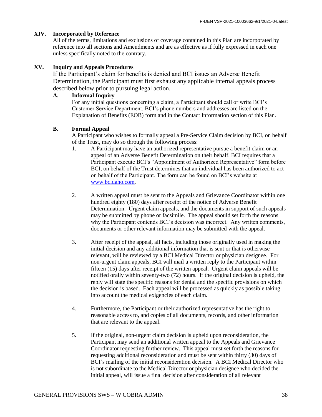#### **XIV. Incorporated by Reference**

All of the terms, limitations and exclusions of coverage contained in this Plan are incorporated by reference into all sections and Amendments and are as effective as if fully expressed in each one unless specifically noted to the contrary.

#### **XV. Inquiry and Appeals Procedures**

If the Participant's claim for benefits is denied and BCI issues an Adverse Benefit Determination, the Participant must first exhaust any applicable internal appeals process described below prior to pursuing legal action.

#### **A. Informal Inquiry**

For any initial questions concerning a claim, a Participant should call or write BCI's Customer Service Department. BCI's phone numbers and addresses are listed on the Explanation of Benefits (EOB) form and in the Contact Information section of this Plan.

#### **B. Formal Appeal**

A Participant who wishes to formally appeal a Pre-Service Claim decision by BCI, on behalf of the Trust, may do so through the following process:

- 1. A Participant may have an authorized representative pursue a benefit claim or an appeal of an Adverse Benefit Determination on their behalf. BCI requires that a Participant execute BCI's "Appointment of Authorized Representative" form before BCI, on behalf of the Trust determines that an individual has been authorized to act on behalf of the Participant. The form can be found on BCI's website at [www.bcidaho.com.](http://www.bcidaho.com/)
- 2. A written appeal must be sent to the Appeals and Grievance Coordinator within one hundred eighty (180) days after receipt of the notice of Adverse Benefit Determination. Urgent claim appeals, and the documents in support of such appeals may be submitted by phone or facsimile. The appeal should set forth the reasons why the Participant contends BCI's decision was incorrect. Any written comments, documents or other relevant information may be submitted with the appeal.
- 3. After receipt of the appeal, all facts, including those originally used in making the initial decision and any additional information that is sent or that is otherwise relevant, will be reviewed by a BCI Medical Director or physician designee. For non-urgent claim appeals, BCI will mail a written reply to the Participant within fifteen (15) days after receipt of the written appeal. Urgent claim appeals will be notified orally within seventy-two (72) hours. If the original decision is upheld, the reply will state the specific reasons for denial and the specific provisions on which the decision is based. Each appeal will be processed as quickly as possible taking into account the medical exigencies of each claim.
- 4. Furthermore, the Participant or their authorized representative has the right to reasonable access to, and copies of all documents, records, and other information that are relevant to the appeal.
- 5. If the original, non-urgent claim decision is upheld upon reconsideration, the Participant may send an additional written appeal to the Appeals and Grievance Coordinator requesting further review. This appeal must set forth the reasons for requesting additional reconsideration and must be sent within thirty (30) days of BCI's mailing of the initial reconsideration decision. A BCI Medical Director who is not subordinate to the Medical Director or physician designee who decided the initial appeal, will issue a final decision after consideration of all relevant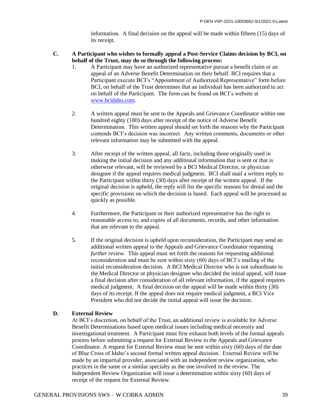information. A final decision on the appeal will be made within fifteen (15) days of its receipt.

- **C. A Participant who wishes to formally appeal a Post-Service Claims decision by BCI, on behalf of the Trust, may do so through the following process:**
	- 1. A Participant may have an authorized representative pursue a benefit claim or an appeal of an Adverse Benefit Determination on their behalf. BCI requires that a Participant execute BCI's "Appointment of Authorized Representative" form before BCI, on behalf of the Trust determines that an individual has been authorized to act on behalf of the Participant. The form can be found on BCI's website at [www.bcidaho.com.](http://www.bcidaho.com/)
	- 2. A written appeal must be sent to the Appeals and Grievance Coordinator within one hundred eighty (180) days after receipt of the notice of Adverse Benefit Determination. This written appeal should set forth the reasons why the Participant contends BCI's decision was incorrect. Any written comments, documents or other relevant information may be submitted with the appeal.
	- 3. After receipt of the written appeal, all facts, including those originally used in making the initial decision and any additional information that is sent or that is otherwise relevant, will be reviewed by a BCI Medical Director, or physician designee if the appeal requires medical judgment. BCI shall mail a written reply to the Participant within thirty (30) days after receipt of the written appeal. If the original decision is upheld, the reply will list the specific reasons for denial and the specific provisions on which the decision is based. Each appeal will be processed as quickly as possible.
	- 4. Furthermore, the Participant or their authorized representative has the right to reasonable access to, and copies of all documents, records, and other information that are relevant to the appeal.
	- 5. If the original decision is upheld upon reconsideration, the Participant may send an additional written appeal to the Appeals and Grievance Coordinator requesting *further review*. This appeal must set forth the reasons for requesting additional reconsideration and must be sent within sixty (60) days of BCI's mailing of the initial reconsideration decision. A BCI Medical Director who is not subordinate to the Medical Director or physician designee who decided the initial appeal, will issue a final decision after consideration of all relevant information, if the appeal requires medical judgment. A final decision on the appeal will be made within thirty (30) days of its receipt. If the appeal does not require medical judgment, a BCI Vice President who did not decide the initial appeal will issue the decision.

#### **D. External Review**

At BCI's discretion, on behalf of the Trust, an additional review is available for Adverse Benefit Determinations based upon medical issues including medical necessity and investigational treatment. A Participant must first exhaust both levels of the formal appeals process before submitting a request for External Review to the Appeals and Grievance Coordinator. A request for External Review must be sent within sixty (60) days of the date of Blue Cross of Idaho's second formal written appeal decision. External Review will be made by an impartial provider, associated with an independent review organization, who practices in the same or a similar specialty as the one involved in the review. The Independent Review Organization will issue a determination within sixty (60) days of receipt of the request for External Review.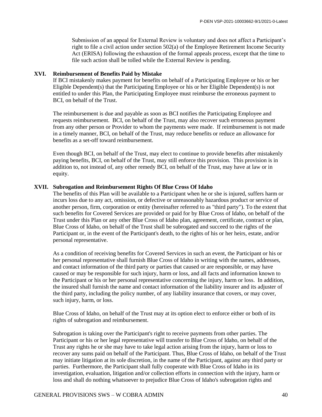Submission of an appeal for External Review is voluntary and does not affect a Participant's right to file a civil action under section 502(a) of the Employee Retirement Income Security Act (ERISA) following the exhaustion of the formal appeals process, except that the time to file such action shall be tolled while the External Review is pending.

#### **XVI. Reimbursement of Benefits Paid by Mistake**

If BCI mistakenly makes payment for benefits on behalf of a Participating Employee or his or her Eligible Dependent(s) that the Participating Employee or his or her Eligible Dependent(s) is not entitled to under this Plan, the Participating Employee must reimburse the erroneous payment to BCI, on behalf of the Trust.

The reimbursement is due and payable as soon as BCI notifies the Participating Employee and requests reimbursement. BCI, on behalf of the Trust, may also recover such erroneous payment from any other person or Provider to whom the payments were made. If reimbursement is not made in a timely manner, BCI, on behalf of the Trust, may reduce benefits or reduce an allowance for benefits as a set-off toward reimbursement.

Even though BCI, on behalf of the Trust, may elect to continue to provide benefits after mistakenly paying benefits, BCI, on behalf of the Trust, may still enforce this provision. This provision is in addition to, not instead of, any other remedy BCI, on behalf of the Trust, may have at law or in equity.

#### **XVII. Subrogation and Reimbursement Rights Of Blue Cross Of Idaho**

The benefits of this Plan will be available to a Participant when he or she is injured, suffers harm or incurs loss due to any act, omission, or defective or unreasonably hazardous product or service of another person, firm, corporation or entity (hereinafter referred to as "third party"). To the extent that such benefits for Covered Services are provided or paid for by Blue Cross of Idaho, on behalf of the Trust under this Plan or any other Blue Cross of Idaho plan, agreement, certificate, contract or plan, Blue Cross of Idaho, on behalf of the Trust shall be subrogated and succeed to the rights of the Participant or, in the event of the Participant's death, to the rights of his or her heirs, estate, and/or personal representative.

As a condition of receiving benefits for Covered Services in such an event, the Participant or his or her personal representative shall furnish Blue Cross of Idaho in writing with the names, addresses, and contact information of the third party or parties that caused or are responsible, or may have caused or may be responsible for such injury, harm or loss, and all facts and information known to the Participant or his or her personal representative concerning the injury, harm or loss. In addition, the insured shall furnish the name and contact information of the liability insurer and its adjuster of the third party, including the policy number, of any liability insurance that covers, or may cover, such injury, harm, or loss.

Blue Cross of Idaho, on behalf of the Trust may at its option elect to enforce either or both of its rights of subrogation and reimbursement.

Subrogation is taking over the Participant's right to receive payments from other parties. The Participant or his or her legal representative will transfer to Blue Cross of Idaho, on behalf of the Trust any rights he or she may have to take legal action arising from the injury, harm or loss to recover any sums paid on behalf of the Participant. Thus, Blue Cross of Idaho, on behalf of the Trust may initiate litigation at its sole discretion, in the name of the Participant, against any third party or parties. Furthermore, the Participant shall fully cooperate with Blue Cross of Idaho in its investigation, evaluation, litigation and/or collection efforts in connection with the injury, harm or loss and shall do nothing whatsoever to prejudice Blue Cross of Idaho's subrogation rights and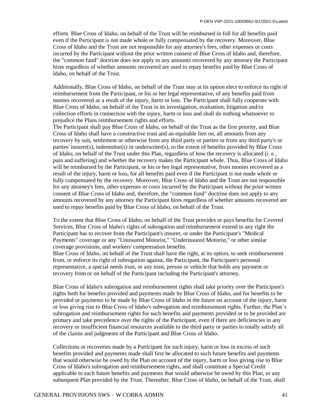efforts. Blue Cross of Idaho, on behalf of the Trust will be reimbursed in full for all benefits paid even if the Participant is not made whole or fully compensated by the recovery. Moreover, Blue Cross of Idaho and the Trust are not responsible for any attorney's fees, other expenses or costs incurred by the Participant without the prior written consent of Blue Cross of Idaho and, therefore, the "common fund" doctrine does not apply to any amounts recovered by any attorney the Participant hires regardless of whether amounts recovered are used to repay benefits paid by Blue Cross of Idaho, on behalf of the Trust.

Additionally, Blue Cross of Idaho, on behalf of the Trust may at its option elect to enforce its right of reimbursement from the Participant, or his or her legal representative, of any benefits paid from monies recovered as a result of the injury, harm or loss. The Participant shall fully cooperate with Blue Cross of Idaho, on behalf of the Trust in its investigation, evaluation, litigation and/or collection efforts in connection with the injury, harm or loss and shall do nothing whatsoever to prejudice the Plans reimbursement rights and efforts.

The Participant shall pay Blue Cross of Idaho, on behalf of the Trust as the first priority, and Blue Cross of Idaho shall have a constructive trust and an equitable lien on, all amounts from any recovery by suit, settlement or otherwise from any third party or parties or from any third party's or parties' insurer(s), indemnitor(s) or underwriter(s), to the extent of benefits provided by Blue Cross of Idaho, on behalf of the Trust under this Plan, regardless of how the recovery is allocated (i. e., pain and suffering) and whether the recovery makes the Participant whole. Thus, Blue Cross of Idaho will be reimbursed by the Participant, or his or her legal representative, from monies recovered as a result of the injury, harm or loss, for all benefits paid even if the Participant is not made whole or fully compensated by the recovery. Moreover, Blue Cross of Idaho and the Trust are not responsible for any attorney's fees, other expenses or costs incurred by the Participant without the prior written consent of Blue Cross of Idaho and, therefore, the "common fund" doctrine does not apply to any amounts recovered by any attorney the Participant hires regardless of whether amounts recovered are used to repay benefits paid by Blue Cross of Idaho, on behalf of the Trust.

To the extent that Blue Cross of Idaho, on behalf of the Trust provides or pays benefits for Covered Services, Blue Cross of Idaho's rights of subrogation and reimbursement extend to any right the Participant has to recover from the Participant's insurer, or under the Participant's "Medical Payments" coverage or any "Uninsured Motorist," "Underinsured Motorist," or other similar coverage provisions, and workers' compensation benefits.

Blue Cross of Idaho, on behalf of the Trust shall have the right, at its option, to seek reimbursement from, or enforce its right of subrogation against, the Participant, the Participant's personal representative, a special needs trust, or any trust, person or vehicle that holds any payment or recovery from or on behalf of the Participant including the Participant's attorney.

Blue Cross of Idaho's subrogation and reimbursement rights shall take priority over the Participant's rights both for benefits provided and payments made by Blue Cross of Idaho, and for benefits to be provided or payments to be made by Blue Cross of Idaho in the future on account of the injury, harm or loss giving rise to Blue Cross of Idaho's subrogation and reimbursement rights. Further, the Plan's subrogation and reimbursement rights for such benefits and payments provided or to be provided are primary and take precedence over the rights of the Participant, even if there are deficiencies in any recovery or insufficient financial resources available to the third party or parties to totally satisfy all of the claims and judgments of the Participant and Blue Cross of Idaho.

Collections or recoveries made by a Participant for such injury, harm or loss in excess of such benefits provided and payments made shall first be allocated to such future benefits and payments that would otherwise be owed by the Plan on account of the injury, harm or loss giving rise to Blue Cross of Idaho's subrogation and reimbursement rights, and shall constitute a Special Credit applicable to such future benefits and payments that would otherwise be owed by this Plan, or any subsequent Plan provided by the Trust. Thereafter, Blue Cross of Idaho, on behalf of the Trust, shall